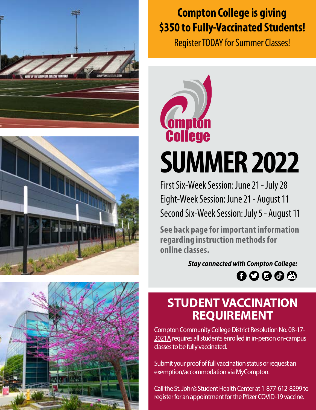





# **Compton College is giving \$350 to Fully-Vaccinated Students!**

Register TODAY for Summer Classes!



# **SUMMER 2022**

First Six-Week Session: June 21 - July 28 Eight-Week Session: June 21 - August 11 Second Six-Week Session: July 5 - August 11

**See back page for important information regarding instruction methods for online classes.**

> *Stay connected with Compton College:*  $00000$

# **STUDENT VACCINATION REQUIREMENT**

Compton Community College District [Resolution No. 08-17-](https://go.boarddocs.com/ca/compton/Board.nsf/goto?open&id=C5SQL268ED58) [2021A](https://go.boarddocs.com/ca/compton/Board.nsf/goto?open&id=C5SQL268ED58) requires all students enrolled in in-person on-campus classes to be fully vaccinated.

Submit your proof of full vaccination status or request an exemption/accommodation via MyCompton.

Call the St. John's Student Health Center at 1-877-612-8299 to register for an appointment for the Pfizer COVID-19 vaccine.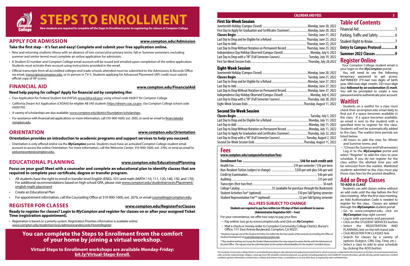

#### **APPLY FOR ADMISSION**

#### **Take the first step – it's fast and easy! Complete and submit your free application online.**

- New and returning students (those with an absence of two consecutive primary terms: fall or Summer semesters; excluding summer and winter terms) must complete an online application for admission.
- A Student ID number and Compton College email account will be issued and emailed upon completion of the online application. Students must activate their account using instructions provided in the email.
- Official transcripts from all accredited colleges and trade schools attended must be submitted to the Admissions & Records Office via email, [transcripts@compton.edu,](mailto:transcripts%40compton.edu?subject=) or in-person in TV-5. Students applying for Advanced Placement (AP) credit must submit official copy of AP scores.

#### **FINANCIAL AID**

#### **Need help paying for college? Apply for financial aid by completing the:**

- Free Application for Federal Student Aid (FAFSA) www.fafsa.ed.gov/ using school code 042817 for Compton College.
- California Dream Act Application (CADAA) for eligible AB 540 students https://dream.csac.ca.gov. Use Compton College school code 04281700.
- A variety of scholarships are also available: [www.compton.edu/district/foundation/scholarships.](http://www.compton.edu/district/foundation/scholarships.aspx)
- For assistance with financial aid applications or more information, call 310-900-1600, ext. 2935, or send an email to [financialaid@](mailto:financialaid%40compton.edu?subject=) [compton.edu](mailto:financialaid%40compton.edu?subject=)

#### **ORIENTATION**

#### **Orientation provides an introduction to academic programs and support services to help you succeed.**

• Orientation is only offered online via the *MyCompton* portal. Students must have an activated Compton College student email account to access the online Orientation. For more information, call the Welcome Center, 310-900-1600, ext. 2765, or send an email to [welcomecenter@compton.edu.](mailto:welcomecenter%40compton.edu?subject=)

### **EDUCATIONAL PLANNING**

#### **Focus on your goal! Meet with a counselor and complete an educational plan to identify classes that are required to complete your certificate, degree or transfer program.**

- All students have the right to enroll in transfer-level English (ENGL 101) and math (MATH 110, 111, 120, 140, 150, and 170). For additional recommendations based on high school GPA, please visit [www.compton.edu/studentservices/Placement/](https://www.compton.edu/studentservices/Placement/english-math-placement.aspx) [english-math-placement](https://www.compton.edu/studentservices/Placement/english-math-placement.aspx)
- Create an Educational Plan
- For appointment information, call the Counseling Office at 310-900-1600, ext. 2076, or email [counseling@compton.edu.](mailto:counseling%40compton.edu?subject=)

#### **COMPTON COLLEGE • SUMMER 2022 3 CALENDAR AND FEES**

#### **REGISTER FOR CLASSES**

#### **Ready to register for classes? Login to** *MyCompton* **and register for classes on or after your assigned Ticket Time (registration appointment).**

• Registration is based on a priority system. Registration Priorities information is available online: [www.compton.edu/studentservices/admissionandrecords/HowtoRegister.](http://www.compton.edu/studentservices/admissionandrecords/HowtoRegister.aspx)

#### **[www.compton.edu/Admission](http://www.compton.edu/steps/admission.aspx)**

#### **[www.compton.edu/FinancialAid](http://www.compton.edu/steps/financialaid.aspx)**

#### **[www.compton.edu/Orientation](http://www.compton.edu/steps/orientation.aspx)**

#### **[www.compton.edu/EducationalPlanning](http://www.compton.edu/steps/educationalplanning.aspx)**

#### **[www.compton.edu/RegisterForClasses](http://www.compton.edu/steps/registerforclasses.aspx)**

### **Table of Contents**

| Summer 2022 Classes 9             |  |
|-----------------------------------|--|
| <b>Entry to Campus Protocol 8</b> |  |
| Student Right to Know7            |  |
| Parking, Traffic and Safety  6    |  |
|                                   |  |

#### **Register Online**

 Your Compton College student email is your login to the *MyCompton* portal.

You will need to use the following temporary password to get access: AaYYMMDD! (YY=last two digits of birth year, MM=two-digit month, DD=two-digit day) *followed by an exclamation (!) mark*. You will be prompted to create a new password and to authenticate your account.

**Classes Begin** ................................................................................................Tuesday, July 5, 2022 ..... Monday, July 11, 2022 ....... Monday, July 11, 2022 ..... Monday, July 11, 2022 ....Thursday, July 22, 2022 .. Tuesday, August 2, 2022. Fhursday, August 11, 2022

#### **Example Fee credit unit**

emester / \$16 per term unit plus \$46 per unit Credit by Examination.........................................................................................\$46 per unit  $...$ \$15 per unit ........ \$6 each hrough the Bookstore) er Fall/Spring semester 2 per Fall/Spring semester

#### **Waitlist**

Students on a waitlist for a class must check their @compton.edu email daily to find out if a space becomes available in the class. If a space becomes available, an email is sent to the student with a specified time to register for the class. Students will not be automatically added to the class. The waitlist time periods are listed below:

- 48 hours to add the class for Winter and Summer terms; and
- 72 hours for Summer and Fall semesters

Log in to the *MyCompton* portal and select "Register" to add the class to your schedule. If you do not register for the class within the allotted time you will be removed from the waitlist. Waitlisted students admitted to the class must pay those class fees by the posted deadline.

#### **Add or Drop Classes TO ADD A CLASS**

Students can add classes online without an add code until the day before the first class meeting. After the first class meeting, an Add Authorization Code is needed to register for the class. Classes are added through the *MyCompton* student portal:

- Go to www.compton.edu, click on *MyCompton* (top right corner)
- Log in with username and password
- Click on the STUDENT SERVICES button
- Select the REGISTRATION AND PLANNING link on the left-hand side
- Click REGISTER FOR CLASSES link
- Search for classes by a variety of options (Subject, CRN, Day, Time, etc.)
- Select a class to add to your schedule by clicking the ADD button

#### First Six-Week Session

| First Day to Apply for Graduation and Certificates (Summer) |
|-------------------------------------------------------------|
|                                                             |
| Last Day to Drop and be Eligible for a Refund               |
|                                                             |
| Last Day to Drop Without Notation on Permanent Record       |
| Independence Day Holiday Observed (Campus Closed)           |
| Last Day to Drop with a "W" (Full Semester Courses)         |
|                                                             |
|                                                             |

The Compton Community College District is community dilege of the community college District is community college District is community and easily and employment environment in which no person is subjected to discriminatio *condition, genetic information, marital status, military and veteran status, or retaliation; or on any other basis as required by state and federal law.*

...........Monday, June 20, 2022 ...........Monday, June 20, 2022 **Classes Begin** ............................................................................................ Tuesday, June 21, 2022 .......... Thursday, June 23, 2022 Last Day to Add...........................................................................................Thursday, June 23, 2022 ......... Thursday, June 23, 2022 ............... Monday, July 4, 2022 ............. Tuesday, July 19, 2022 ............. Thursday, July 28,2022

.......Monday, June 20, 2022 **Classes Begin** ............................................................................................ Tuesday, June 21, 2022 .......Monday, June 27, 2022 .......Monday, June 27, 2022 ......Monday, June 27, 2022 .......... Monday, July 4, 2022 ......Thursday, July 28, 2022. Eight-Mersday, August 11, 2022.

#### Eight-Week Session

| Last Day to Drop Without Notation on Permanent Record |
|-------------------------------------------------------|
| Independence Day Holiday Observed (Campus Closed)     |
|                                                       |
|                                                       |
|                                                       |

#### Second Six-Week Session

| Last Day to Drop Without Notation on Permanent Record      |
|------------------------------------------------------------|
| Last Day to Apply for Graduation and Certificates (Summer) |
| Last Day to Drop with a "W" (Full Semester Courses)        |
|                                                            |
|                                                            |

#### **Fees**

#### **www.compton.edu/campusinformation/fees**

| Non-Resident Tuition (subject to change)  \$320 per |  |
|-----------------------------------------------------|--|
|                                                     |  |
|                                                     |  |
|                                                     |  |
|                                                     |  |
|                                                     |  |
|                                                     |  |

#### **ALL FEES SUBJECT TO CHANGE**

#### **Students are required to pay fees within ten (10) days of their enrollment in courses (Administrative Regulation 5031 – Fees)**

- For your convenience, we offer two ways to pay your fees:
- Pay online! Just go to www.compton.edu and click on *MyCompton*.
- Mail a check or money order to Compton Community College District, Bursar's Office; 1111 East Artesia Boulevard, Compton, CA 90221.

*\*Students may opt-out of the Student Activities Fee within the first two weeks of the semester by emailing the Office of Student Development at [studentdevelopment@compton.edu](mailto:studentdevelopment%40compton.edu?subject=).*

*\*\*Any student wishing not to pay the Student Representation Fee may request to waive the fee with the Admissions & Records Office. The request must be submitted prior to the earliest refund deadline for the student's enrolled classes.*

### **You can complete the Steps to Enrollment from the comfort of your home by joining a virtual workshop.**

**Virtual Steps to Enrollment workshops are available Monday-Friday:**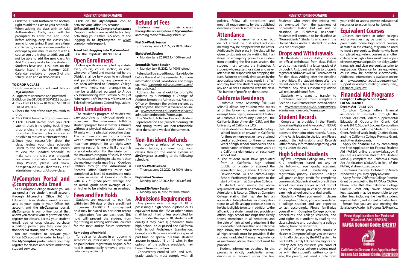- Click the SUBMIT button on the bottom right to add the class to your schedule
- When adding the class with an Add Authorization Code, you will be prompted to enter the Add Code. Before adding, drop the classes you are no longer taking. If you have a time conflict (e.g., a class you are enrolled in overlaps by one minute or more with a course you are trying to add), you will not be able to add the new class. An Add Code only works for one student
- Students have until 11:59 p.m. on the date(s) listed in the Summer 2021 Calendar, available on page 3 of this schedule, to add or drop classes.

#### **TO DROP A CLASS**

As a Compton College student, you are or higher to be eligible for an overload. assigned a free student email account through Microsoft's Office 365 for Education. Your student email address acts as your login to your Office 365 account and the *MyCompton* portal. *MyCompton* is our online portal that allows you to view your registration date, register for classes, access your student email, add or drop classes, purchase a parking permit, pay fees, view your financial aid status, and much more.

- 1. Go to www.compton.edu and click on *MyCompton*
- 2. Login with username and password
- 3. Click on the STUDENT SERVICES button 4. Click DRP CLASS or REMOVE SECTION
- FROM WAITLIST
- 5. Check the box of the class you wish to drop
- 6. Click DROP from the drop-down menu 7. Click SUBMIT (Note: once you click submit there is no going back. If you drop a class in error, you will need to contact the instructor as soon as possible to request a reinstatement.)
- 8. Once you successfully drop the class, review your class schedule (scroll to the bottom of the screen to view the updated schedule) to make sure the class was dropped. For more information and to view Drop Policies, please visit [www.](http://www.compton.edu/studentservices/admissionandrecords/drop-a-class.aspx) [compton.edu/studentservices/](http://www.compton.edu/studentservices/admissionandrecords/drop-a-class.aspx) [admissionandrecords/drop-a-class.](http://www.compton.edu/studentservices/admissionandrecords/drop-a-class.aspx)

#### **MyCompton Portal and @compton.edu Email**

You are required to activate your Office 365 account in order to log in to the *MyCompton* portal, where you may register for classes and access additional student services.

#### Click on the *MyCompton* icon to activate your Office 365 account.

**Office 365 and MyCompton Assistance** Support videos are available for help activating your Office 365 account and logging in to *MyCompton* at [www.](http://www.compton.edu/support) [compton.edu/support](http://www.compton.edu/support).

#### **Need help logging into** *MyCompton?* Call the Helpdesk: 310-900-1234.

#### **Open Enrollment**

Unless specifically exempted by statute, every course, course section, or class, wherever offered and maintained by the District, shall be fully open to enrollment and participation by any person who has been admitted to Compton College and who meets such prerequisites as may be established pursuant to Article 2.5 (commencing with Section 55200) of Subchapter 1 of Chapter 6 of Division 6 of Title 5 of the California Code of Regulations.

#### **Unit Limitations**

The student's program of studies will vary according to individual needs and objectives. The maximum full-time student program for a semester is 18 units without a physical education class and 19 units with a physical education class. The maximum program of study for a sixweek summer session is eight units. The maximum program for an eight-week summer session is nine units if one unit is physical education. For the winter term, the maximum program of study is seven units. A student wishing to take more than the maximum units may file an Overload Petition through the Admissions & Records Office. Students must have completed at least 15 transferable units in one semester at Compton College with a 2.75 grade-point average and an overall grade-point average of 2.5

#### **Fees and Fee Holds**

Students are required to pay fees within ten (10) days of their enrollment in courses (AR-5031). A non-payment hold may be placed on a student record if registration fees are past due. This hold will prevent the student from registering or adding additional courses for the next and/or future semesters.

#### **Removing a Fee Hold**

To register for classes in an upcoming semester or intersession, all fees must be paid before registration begins. A fee hold is automatically removed once the balance is paid in full.

#### **Refund of Fees**

Students must drop their classes through the online system, at *MyCompton* according to the following schedule:

#### **First Six-Week Session**

• Thursday, June 23, 2022, for 100% refund

#### **Eight-Week Session**

• Monday, June 27, 2022, for 100% refund

#### **Second Six-Week Session**

• Monday, July 11, 2022, for 100% refund

Refunds will be issued through BankMobile before the end of the semester. For more information about BankMobile, and to sign up, visit [bankmobiledisbursements.com/](https://bankmobiledisbursements.com/refundchoices/) [refundchoices/.](https://bankmobiledisbursements.com/refundchoices/)

Address changes should be promptly updated by submitting a Change of Address form to the Admissions & Records Office or through the online system, at *MyCompton*. The form is available online at [www.compton.edu/studentservices/](http://www.compton.edu/studentservices/admissionandrecords/Forms.aspx) [admissionandrecords/Forms.aspx](http://www.compton.edu/studentservices/admissionandrecords/Forms.aspx).

The Student Activities Fee and Student Representation Fee (collected during fall and spring terms) are non-refundable after the second week of the semester.

#### **Non-Resident Refunds**

To receive a refund of your nonresident tuition, you must drop your classes through the online system at *MyCompton* according to the following schedule:

#### **First Six-Week Session**

• Thursday, June 23, 2022, for 100% refund

#### **Eight-Week Session**

• Monday, June 27, 2022, for 100% refund

#### **Second Six-Week Session**

• Monday, July 11, 2022, for 100% refund

#### **Admissions Requirements**

Any person over the age of 18 or possessing a high school diploma or its equivalent from the USA or other nation shall be admitted unless prohibited by law. If under the age of 18, students will qualify if they have 1) graduated from high school or 2) passed the California High School Proficiency Examination. Compton College may admit as a special part-time or special full-time student anyone in grades 11 or 12 who, in the opinion of the college president, may benefit from instruction.

Concurrently enrolled 11th- and 12thgrade students must comply with all

#### **REGISTRATION INFORMATION**

 **4 REGISTRATION INFORMATION REGISTRATION INFORMATION**

policies, follow all procedures, and meet all requirements by the published deadlines for each semester and/or term.

#### **Attendance**

Students who enroll in a class but do not attend the first scheduled class meeting may be dropped from the roster. Additionally, their place in the class will be given to students on the waiting list. If an illness or emergency prevents a student from attending the first class session, the student must contact the instructor. A student who registers for a class and never attends is still responsible for dropping the class. Failure to properly drop a class by the appropriate deadline may result in a "W" and may hold the student responsible for any and all fees associated with the class. The burden of proof is on the student.

#### **California Residency**

California State Assembly Bill 540 (AB540) allows any student who meets all of the following requirements to be exempt from paying nonresident tuition at California Community Colleges, the California State University (CSU), and the University of California (UC).

- 1. The student must have attended a high school (public or private) in California for three or more years or have attained credits equivalent to three or more years of high school coursework and a combination of three or more years at a California elementary or secondary school and
- 2. The student must have graduated from a California high school (public or private) or attained the equivalent (e.g., General Educational Development - GED or California High School Proficiency Exam) prior to the start of the term at Compton College.

A student who meets the above requirements must file an affidavit with the Admissions & Records Office at Compton College stating that he/ she has an application to legalize his/ her immigration status or will file an application as soon as he/she is eligible to do so. In addition to the affidavit, the student must also provide an official high school transcript that clearly shows attendance in all semesters and the date of high school graduation. If the student attended more than one California high school, then official transcripts from all high schools must be provided. If the student graduated through equivalency as mentioned above, then proof must be provided.

Student information obtained in this process is strictly confidential unless disclosure is required under the law.

Students who meet the criteria will be exempted from the payment of nonresident tuition but will not be classified as "California Residents." Students will continue to be classified as "Nonresidents." Students who are in the United States under a student or visitor visa are not eligible.

#### **Drops and Withdrawals**

It is the student's responsibility to process an official withdrawal from class. Failure to do so may result in a letter grade of A through F. A student who fails to properly register or add a class will NOT receive credit for that class. Adding after the deadline is prohibited. If a student drops after the refund deadline, fees for the classes are forfeited. Any class subsequently added will require additional fees.

Students who want to transfer to a different section must complete a Section-Level Transfer form located online at [www.compton.edu/studentservices/](http://www.compton.edu/studentservices/admissionandrecords/Forms.aspx) [admissionandrecords/Forms.aspx.](http://www.compton.edu/studentservices/admissionandrecords/Forms.aspx)

### **Student Records**

Congress has provided in the "Family Education Rights and Privacy Act" (FERPA) that students have certain rights of access to their education records. A copy of the Act is located in the Library. Please contact the Admissions and Records Office for any information regarding your rights under the Act.

### **High School Students**

By law, Compton College may restrict K-12 enrollment based on any of the following: age, grade, academic preparation, seat availability or registration priority. Compton College will grant college credit for completed coursework. Students should consult their school counselor and/or school district policy on enrolling in college classes to earn high school credits or dual credit.

Students - When you enroll in classes at Compton College, you are considered a college student and are expected to act accordingly. Please familiarize yourself with Compton College policies, procedures, the college calendar, and your rights as a student by reading the class schedule and purchasing a college catalog from the Bookstore.

Parents - when your child enrolls in classes at Compton College, you lose some rights afforded you by the K-12 system. As per FERPA (Family Educational Rights and Privacy Act), any business you conduct on behalf of your college student must be with the student's written consent. You, the parent, will need a note from

your child to access private educational records or to act on his or her behalf.

#### **Equivalent Courses**

Courses completed at other colleges and universities may be used to meet a prerequisite. Some high school courses, as stated in the catalog, may also be used to meet a prerequisite. Students who have completed equivalent courses at another college or in high school must have copies of necessary transcripts. Do not delay. Order transcripts and clear prerequisites prior to registration. Clearance for an equivalent course may be obtained electronically. Additional information is available online at [www.compton.edu/studentservices/](http://www.compton.edu/studentservices/supportservices/counseling/Prerequisite_Clearance_Request.aspx) [supportservices/counseling/Prerequisite\\_](http://www.compton.edu/studentservices/supportservices/counseling/Prerequisite_Clearance_Request.aspx) [Clearance\\_Request.](http://www.compton.edu/studentservices/supportservices/counseling/Prerequisite_Clearance_Request.aspx)

#### **Financial Aid Programs**

#### **Compton College School Codes: FAFSA - 042817**

#### **Dream Act - 04281700**

Compton College offers financial assistance to students through the Federal Pell Grant, Federal Supplemental Educational Opportunity Grant, Cal Grants B & C, Student Success Completion Grant (SSCG), Full-time Student Success Grant, Federal Work Study, Chaffee Grant, and the California College Promise Grant, and other state grants.

Apply for financial aid by completing the Free Application for Federal Student Aid (FAFSA) online at www.fafsa.gov. If you are a California Dream Act Student (AB540), complete the California Dream Act Application (CADAA), in lieu of the FAFSA, at dream.csac.ca.gov.

Best times to apply - October 1 to March 2; however, you may apply anytime.

Apply for the California College Promise Grant by completing the FAFSA or CADAA. Please note that the California College Promise Grant only covers enrollment fees; students may be responsible to pay other fees including the health, student representation, and student activities fees.

Ensure that you are also meeting the Satisfactory Academic Progress (SAP) policy.

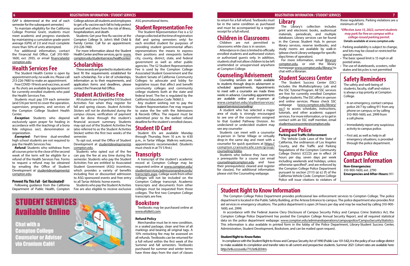(SAP is determined at the end of each semester for the subsequent semester.)

To maintain eligibility for the California College Promise Grant, students must meet academic and progress standards by maintaining a cumulative grade-point average (GPA) of 2.0 and must complete more than 50% of units attempted.

For additional information, contact the Financial Aid Office. Call 310-900- [1600, ext. 29](mailto:financialaid%40compton.edu?subject=)35, or email [financialaid@](mailto:financialaid%40compton.edu?subject=) compton.edu.

#### **Health Services Fee**

The Student Health Center is open by appointment only; no walk-ins. Please call 213-226-7480 to make an appointment.

**Exempted:** Part-time dual-enrolled high school students are not required to pay the Health Services Fee.

Free COVID-19 tests and vaccines, as well as flu shots are available by appointment for currently enrolled students who paid the Health Services Fee.

Students must pay \$19 each semester (and \$16 per term) to cover the operation, supervision, programs, and services of the Compton College Student Health Center.

*Exception*: Students who depend exclusively upon prayer for healing in accordance with the teachings of a bona fide religious sect, denomination or organization.

*Refund:* Students who withdraw from all courses prior to the close of the second week of the term will be eligible for a refund of the Health Services Fee. Forms to request a refund may be obtained by emailing the Office of Student Development at [studentdevelopment@](mailto:studentdevelopment%40compton.edu?subject=) [compton.edu](mailto:studentdevelopment%40compton.edu?subject=).

#### **Prevent Flu This Fall** - **Get Vaccinated!**

to get a flu vaccine each fall to help protect yourself and others from the risk of illness, hospitalization, and death.

Students: Get your free flu vaccine at the Compton College St. John's Well Child & Family Center. Call for an appointment: 213-226-7480.

For more information about the Student Health Center and free services, go to [www.](http://www.compton.edu/studentservices/healthcenter/) [compton.edu/studentservices/healthcenter/.](http://www.compton.edu/studentservices/healthcenter/)

#### **Scholarships**

These awards are granted to students who best fit the requirements established for each scholarship. For a list of scholarships, information as to their requirements, and application forms and deadlines, please contact the Financial Aid Office.

### **Student Activities Fee**

Following guidance from the California Department of Public Health, Compton Fee are also eligible to receive exclusive

#### College advises all students and employees ASG promotional items.

All students are charged the \$10 Student Activities Fee when they register for fall and spring classes. *Student Activities Stickers will not be distributed during the campus closure*, verification of payment will be done through the student's financial account summary. Students may opt out of the Student Activities Fee (also referred to as the Student Activities Sticker) within the first two weeks of the semester.

To opt out, email the Office of Student Development at [studentdevelopment@](mailto:studentdevelopment%40compton.edu?subject=) [compton.edu](mailto:studentdevelopment%40compton.edu?subject=).

Students who opted out of the fee can pay the fee at any time during the semester. Students who pay the Student Activities Fee are entitled to Associated Student Government (ASG) incentives, which provides a variety of benefits including free or discounted admission to ASG-sponsored events and free entry to all Tartar Athletic home events.

Students who pay the Student Activities



### **Student Representation Fee**

The Student Representation Fee is a \$2 charge collected at the time of registration (fall and spring semesters only) for each enrolled student for purposes of providing student governmental affairs representatives the means to express their positions and viewpoints before city, county, district, state, and federal government as well as other public agencies. The \$2 Student Representation Fee is used by the Compton College Associated Student Government and the Student Senate of California Community Colleges to advocate and lobby for legislative issues that affect and benefit community colleges and community college students both at the state and federal level. The fee is regulated by the California Education Code 76060.5.

Any student wishing not to pay the Student Representation Fee may request to waive the fee with the Admissions & Records Office. The request must be submitted prior to the earliest refund deadline for the student's enrolled classes.

#### **Student ID Card**

Student IDs are available Monday through Thursday, from 10 a.m. to 4:30 p.m., in Tartar Village. Walk-ins welcome, appointments recommended. (Students must check in at TV 5 first.)

#### **Transcripts**

A transcript of the student's academic record at Compton College may be requested online at [www.compton.edu/](http://www.compton.edu/studentservices/admissionandrecords/transcripts.aspx) [studentservices/admissionandrecords/](http://www.compton.edu/studentservices/admissionandrecords/transcripts.aspx) [transcripts.aspx.](http://www.compton.edu/studentservices/admissionandrecords/transcripts.aspx) College work from other colleges will not be included on the Compton College transcript. Academic transcripts and documents from other colleges must be requested from those colleges. The first two Compton College transcripts are free.

#### **Bookstore**

Textbooks may be purchased online at [www.efollett.com](http://www.efollett.com).

#### **Refund Policy**

The safety and well-being of students, faculty, staff and visitors is always a top priority at Compton College.

Merchandise must be in new condition, in a sealed package, clean and free of all markings and bearing all original tags. A 10% restocking fee may be assessed on all refunds. Textbooks can be returned for a full refund within the first week of the Summer and fall semesters. Textbooks purchased for summer and winter terms have three days from the start of classes

#### **6 REGISTRATION INFORMATION / STUDENT SERVICES REGISTRATION INFORMATION / STUDENT SERVICES 7**

### **Student Right to Know Information**

The Compton College Police Department provides professional law enforcement services to Compton College. The police department is located in the Public Safety Building, at the Artesia Entrance to campus. The police department also provides first aid services in emergency situations. The police department is open 24 hours per day and may be reached by calling 310-900- 1600, ext. 2999.

In accordance with the Federal Jeanne Clery Disclosure of Campus Security Policy and Campus Crime Statistics Act, the Compton College Police Department has posted the Compton College Annual Security Report, and all required statistical data on the police department webpage: [www.compton.edu/adminandoperations/campuspolice/CampusSecurityStatistics.](http://www.compton.edu/adminandoperations/campuspolice/CampusSecurityStatistics) This information is also available in printed form in the lobby of the Police Department, Library-Student Success Center, Administration, Student Development, Bookstore, and can be mailed upon request.

#### **Student Right-to-Know Rates**

In compliance with the Student Right-to-Know and Campus Security Act of 1990 (Public Law 101-542), it is the policy of our college district to make available its completion and transfer rates to all current and prospective students. Summer 2021 Cohort rates are available here: <http://srtk.cccco.edu/711//srtk20.htm>.

to return for a full refund. Textbooks must be in the same condition as purchased and must be accompanied by a register receipt for a full refund.

### **Children in Classrooms**

Children are not permitted in classrooms while class is in session.

Attendance in class is limited to officially enrolled students and authorized visitors or authorized guests only. In addition, students shall not allow children to be left unattended or unsupervised anywhere at Compton College.

#### **Counseling/Advisement**

Counseling services are made available to students through drop-in advisement or scheduled appointments. Appointments to meet with a counselor are made three weeks in advance. Counseling appointments are available online and in-person at [www.compton.edu/studentservices/](http://www.compton.edu/studentservices/supportservices/counseling/) [supportservices/counseling/.](http://www.compton.edu/studentservices/supportservices/counseling/)

A student who has selected a major area of study is strongly encouraged to see one of the counselors assigned to that Guided Pathway Division. An undeclared or undecided student may see any counselor

Students can meet with a counselor in-person in Tartar Village or virtually drop-in the same day and meet with a counselor for quick questions at [https://](https://compton.craniumcafe.com/group/counseling/lobby) [compton.craniumcafe.com/group/](https://compton.craniumcafe.com/group/counseling/lobby) [counseling/lobby](https://compton.craniumcafe.com/group/counseling/lobby).

Students who believe they have met a prerequisite for a course can email [counseling@compton.edu](mailto:counseling%40compton.edu?subject=) and have their prerequisite(s) cleared and register for class(es). For additional information please visit the Counseling webpage.

### **Library**

The Library's collection includes print and electronic books, audiovisual materials, periodicals, and multiple databases. Library services can be found in the Canvas Student Hub. In person library services, reserve textbooks, and study rooms are available by walk-in (please check Library webpage for specific days/times of operation).

For more information, email [library@](mailto:library%40compton.edu?subject=) [compton.edu](mailto:library%40compton.edu?subject=), or visit the library homepage [www.compton.edu/library/](http://www.compton.edu/library/) to chat with a librarian.

### **Student Success Center**

The Student Success Center (SSC) includes the Multidisciplinary Lab and the SSC Tutorial Program. All SSC services are free for currently enrolled Compton College students. The SSC offers in-person and online services. Please check SSC webpage [\(www.compton.edu/library/](http://www.compton.edu/library/ssc/) [ssc/\)](http://www.compton.edu/library/ssc/) to access schedules, instructions, tutorials, and other academic support services. For more information, or to get in contact with an SSC staff member, email

[studentsuccesscenter@compton.edu.](mailto:studentsuccesscenter%40compton.edu?subject=) **Campus Police** 

# **Parking and Traffic Enforcement**

The Vehicle Code Laws of the State of California, the ordinances of Los Angeles County, and the Traffic and Parking Regulations of the Compton Community College District (CCCD) are in effect 24 hours per day, seven days per week including weekends and holidays, unless otherwise specified\*, and are enforced by the Compton College Police Department pursuant to section 21113 (a) (c) (f) of the California Vehicle Code. Compton College Police will issue citations to violators of

these regulations. Parking violations are a minimum of \$40.

*\*Effective June 15, 2022, current students may park for free on campus with a college-issued parking permit.*

**Details available at www.compton.edu**

- Parking availability is subject to change, and lots may be closed or restricted for special events.
- The basic speed limit is 15 mph in all posted areas.
- The use of skateboards, scooters, roller skates and bicycles is not permitted

### **Safety Reminders**

- In an emergency, contact campus police 24/7 by calling 911 from any phone on campus; or by calling 310-900-1600, ext. 2999 from a cell phone.
- Immediately report any suspicious activity to campus police.
- First aid, as well as help in all emergency situations, is provided through the police department.

### **Campus Police Contact Information**

**Non-Emergencies:** 310-900-1600, ext. 2790 **Emergencies and After-Hours:** 911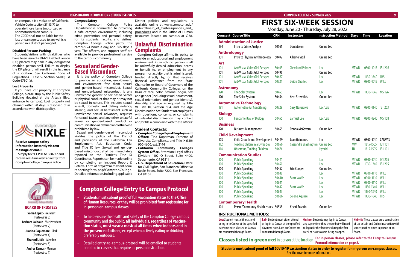#### **8 REGISTRATION INFORMATION / STUDENT SERVICES**

#### **BOARD OF TRUSTEES**

**Sonia Lopez** - President (Trustee Area 3) **Barbara Calhoun** - Vice President (Trustee Area 2) **Juanita Doplemore** - Clerk (Trustee Area 4) **Sharoni Little** - Member (Trustee Area 5)

> **Andres Ramos** - Member (Trustee Area 1)

on campus. It is a violation of California Vehicle Code section 21113(F) to operate those items (motorized or nonmotorized) on campus. • The CCCD shall not be liable for the loss or damage caused to any vehicle parked in a district parking lot.

**Disabled Persons Parking**

(DP) placard may park in any designated disabled person stall. Failure to display the DP placard will result in the issuance of a citation. See California Code of Regulations - Title 5, Section 54100; Ed

Code 67301(a). **Lost Property**

If you have lost property at Compton College, please stop by the Public Safety Building (located at the Artesia Blvd. entrance to campus). Lost property not claimed within 90 days is disposed of in

accordance with district policy.

 **COMPTON COLLEGE • SUMMER 2022 9**

# **FIRST SIX-WEEK SESSION**

Monday, June 20 - Thursday, July 28, 2022

**Protocol information on page 8.** 

Students/visitors with disabilities who have been issued a DMV Disabled Person The Compton College Department is committed to providing a safe campus environment, including crime prevention and personal safety, Resources located on campus at C-38. for its students, faculty, and visitors. campus 24 hours a day, and 365 days a year. The officers, and support staff are available to provide professional service to the campus community.

> for sexual fa sexual or communica prohibited Sexual ar violates th and provisions of the California Fair Employment Act, Education Code, and Title IX law. Sexual and genderbased misconduct shall be immediately reported to the District's Title IX

#### District policies and regulations, is Police available online at [www.compton.edu/](http://www.compton.edu/district/board_of_trustees/policies_and_procedures.aspx) district/board of trustees/policies and [procedures](http://www.compton.edu/district/board_of_trustees/policies_and_procedures.aspx) and in the Office of Human

Compton College affirms its policy to provide an educational and employment environment in which no person shall be unlawfully denied admission, access or benefit to, or employment in any program or activity that is administered, funded directly by, or that receives financial assistance from the State Chancellor or Board of Governors of the California Community Colleges on the basis of race, color, national origin, sex and gender (including sexual harassment, sexual orientation, and gender identity), disability, and age as required by Title tion Act. Students or employees ions, concerns, or complaints discrimination may contact complaint with these offices:

#### Contacts:

## **Compton College Entry to Campus Protocol**

- **• Students must submit proof of full vaccination status to the Office of Human Resources, or they will be prohibited from registering for in-person on-campus classes.**
- To help ensure the health and safety of the Compton College campus community and the public, **all individuals, regardless of vaccination status, must wear a mask at all times when indoors and in the presence of others**, except when actively eating or drinking, preferably outdoors.
- Detailed entry-to-campus-protocol will be emailed to students enrolled in classes that require in-person instruction.

#### **Campus Safety**

#### **Sexual and Gender-Based Misconduct**

It is the policy of Compton College to provide an education, employment, and environment free from sexual and gender-based misconduct. Sexual and gender-based misconduct is any unwelcome gender or sex-based verbal or physical conduct that may or may not be sexual in nature. This includes sexual assault, domestic and dating violence, VI, Title IX, Section 504, and the Age stalking, and sexual harassment such as unwelcome

|                     | <b>Course # Course Title</b>                                      | <b>CRN</b>                             | <b>Instructor</b>                    |                             | <b>Instruction Method</b>                                                                           | <b>Days</b>                | <b>Time</b>                          | <b>Location</b>                                |
|---------------------|-------------------------------------------------------------------|----------------------------------------|--------------------------------------|-----------------------------|-----------------------------------------------------------------------------------------------------|----------------------------|--------------------------------------|------------------------------------------------|
|                     | <b>Administration of Justice</b>                                  |                                        |                                      |                             |                                                                                                     |                            |                                      |                                                |
| 134                 | Intro to Crime Analysis                                           | 50561                                  | Don Mason                            |                             | <b>Online Lec</b>                                                                                   |                            |                                      |                                                |
| <b>Anthrolopogy</b> |                                                                   |                                        |                                      |                             |                                                                                                     |                            |                                      |                                                |
| 101                 | Intro to Physical Anthropology                                    | 50492                                  | <b>Alberto Vigil</b>                 |                             | Online Lec                                                                                          |                            |                                      |                                                |
| Art                 |                                                                   |                                        |                                      |                             |                                                                                                     |                            |                                      |                                                |
| 101                 | Art/Visual Cultr: Glbl Perspec                                    | 50493                                  | <b>Cleveland Palmer</b>              |                             | Lec                                                                                                 | <b>MTWR</b>                | 0800-1015                            | <b>IB1 206</b>                                 |
| 101                 | Art/Visual Cultr: Glbl Perspec                                    | 50496                                  |                                      |                             | Online Lec                                                                                          |                            |                                      |                                                |
| 101                 | Art/Visual Cultr: Glbl Perspec                                    | 50687                                  |                                      |                             | Lec                                                                                                 | <b>MTWR</b>                | 1430-1640                            | <b>LHS</b>                                     |
| 101                 | Art/Visual Cultr: Glbl Perspec                                    | 50724                                  | <b>Deitra Charles</b>                |                             | Lec                                                                                                 | <b>MTWR</b>                | 0800-1015                            | <b>WILL</b>                                    |
| <b>Astronomy</b>    |                                                                   |                                        |                                      |                             |                                                                                                     |                            |                                      |                                                |
| 120                 | The Solar System                                                  | 50453                                  |                                      |                             | Lec                                                                                                 | <b>MTWR</b>                | 1430-1645                            | <b>MS 126</b>                                  |
| 120                 | The Solar System                                                  | 50454                                  | <b>Kent Schwitkis</b>                |                             | <b>Online Lec</b>                                                                                   |                            |                                      |                                                |
|                     | <b>Automotive Technology</b>                                      |                                        |                                      |                             |                                                                                                     |                            |                                      |                                                |
| 181                 | <b>Automotive Air Conditning</b>                                  | 50729                                  | <b>Gary Narusawa</b>                 |                             | Lec/Lab                                                                                             | <b>MTWR</b>                | 0800-1140                            | <b>VT 203</b>                                  |
| <b>Biology</b>      |                                                                   |                                        |                                      |                             |                                                                                                     |                            |                                      |                                                |
| 100                 | <b>Fundamentals of Biology</b>                                    | 50455                                  | <b>Samuel Lee</b>                    |                             | Lec/Lab                                                                                             | <b>MTWR</b>                | 0800-1240                            | <b>MS 108</b>                                  |
| <b>Business</b>     |                                                                   |                                        |                                      |                             |                                                                                                     |                            |                                      |                                                |
| 120                 | <b>Business Management</b>                                        | 50655                                  | Donna McGovern                       |                             | Online Lec                                                                                          |                            |                                      |                                                |
|                     | <b>Child Development</b>                                          |                                        |                                      |                             |                                                                                                     |                            |                                      |                                                |
| 103                 | <b>Child Growth and Development</b>                               | 50449                                  | Juan Quinones                        |                             | Lec                                                                                                 | <b>MTWR</b>                | 0800-1010                            | <b>CANVAS</b>                                  |
| 112                 | <b>Teachng Chldrn in a Dvrse Soc</b>                              | 50656                                  |                                      | <b>Cassandra Washington</b> | <b>Online Lec</b>                                                                                   | <b>MW</b>                  | 1315-1505                            | <b>IB1 101</b>                                 |
| 114                 | <b>Observing/Guiding Children</b>                                 | 50674                                  |                                      |                             | <b>Hybrid</b>                                                                                       | <b>TR</b>                  | 1315-1505                            | <b>IB1 101</b>                                 |
|                     | <b>Communication Studies</b>                                      |                                        |                                      |                             |                                                                                                     |                            |                                      |                                                |
| 100                 | <b>Public Speaking</b>                                            | 50441                                  |                                      |                             | Lec                                                                                                 | <b>MTWR</b>                | 0800-1010                            | <b>IB1 205</b>                                 |
| 100                 | <b>Public Speaking</b>                                            | 50450                                  |                                      |                             | Lec                                                                                                 | <b>MTWR</b>                | 1030-1240                            | <b>IB1 205</b>                                 |
| 100                 | <b>Public Speaking</b>                                            | 50452                                  | <b>Erin Cooper</b>                   |                             | <b>Online Lec</b>                                                                                   |                            |                                      |                                                |
| 100                 | <b>Public Speaking</b>                                            | 50639                                  |                                      |                             | Lec                                                                                                 | <b>MTWR</b>                | 0900-1110                            | WILL                                           |
| 100                 | <b>Public Speaking</b>                                            | 50640                                  | <b>Scott Wolfe</b>                   |                             | Lec                                                                                                 | <b>MTWR</b>                | 0900-1110                            | WILL                                           |
| 100                 | <b>Public Speaking</b>                                            | 50641                                  |                                      |                             | Lec                                                                                                 | <b>MTWR</b>                | 0900-1110                            | WILL                                           |
| 100<br>100          | <b>Public Speaking</b><br><b>Public Speaking</b>                  | 50642<br>50643                         | <b>Scott Wolfe</b>                   |                             | Lec<br>Lec                                                                                          | <b>MTWR</b><br><b>MTWR</b> | 1130-1340<br>1130-1340               | WILL<br>WILL                                   |
| 100                 | <b>Public Speaking</b>                                            | 50686                                  | <b>Selene Aguirre</b>                |                             | Lec                                                                                                 | <b>MTWR</b>                | 1430-1640                            | <b>FHS</b>                                     |
|                     |                                                                   |                                        |                                      |                             |                                                                                                     |                            |                                      |                                                |
| 101                 | <b>Contemporary Health</b><br>Persnl/Communty Health Issues 50538 |                                        | Krysti Rosario                       |                             | Online Lec                                                                                          |                            |                                      |                                                |
|                     |                                                                   |                                        |                                      |                             |                                                                                                     |                            |                                      |                                                |
|                     | <b>INSTRUCTIONAL METHODS:</b>                                     |                                        |                                      |                             |                                                                                                     |                            |                                      |                                                |
|                     | <b>Lec:</b> Student must either attend                            | <b>Lab:</b> Student must either attend |                                      |                             | <b>Online:</b> Students may log in to Canvas                                                        |                            |                                      | <b>Hybrid:</b> These classes are a combination |
|                     | or log in to Canvas at the specified                              |                                        | or log in to Canvas at the specified |                             | any day or time they choose but will need                                                           |                            |                                      | of Lec or Lab, and Online instruction with     |
|                     | day/time note. Classes on Canvas<br>are conducted through Zoom.   | conducted through Zoom.                | day/time note. Labs on Canvas are    |                             | to login for the first time during the first<br>week of class to avoid being dropped.               | Zoom.                      | some specified times in person or on |                                                |
|                     |                                                                   |                                        |                                      |                             |                                                                                                     |                            |                                      |                                                |
|                     | <b>Classes listed in green</b> meet in person at the location     |                                        |                                      |                             | For in-person classes, please refer to the Entry to Campus<br><b>Protocol information on nano 8</b> |                            |                                      |                                                |

### Compton College Police patrol the **Unlawful Discrimination Complaints**

Coordinator. Reports can be made online by completing an Incident Report & Referral Form at [https://cm.maxient.com/](https://cm.maxient.com/reportingform.php?ComptonCollege) [reportingform.php?ComptonCollege.](https://cm.maxient.com/reportingform.php?ComptonCollege) Detailed information, including applicable

- **• Compton College Equal Employment Officer:** Tina Kuperman, Director of Diversity, Compliance, and Title IX (310) 900-1600, ext. 2144
- **• California Community Colleges System Office,** Attention: Legal Affairs Division: 1102 Q Street, Suite 4400, Sacramento, CA 95811
- **• U.S. Department of Education,** Office for Civil Rights, San Francisco Office: 50 Beale Street, Suite 7200, San Francisco, CA 94105

**Students must submit proof of full COVID-19 vacciantion status in order to register for in-person on-campus classes.** See the cover for more information.

| Discriminati     | iu sexuai harassifient such as |
|------------------|--------------------------------|
| with questio     | e sexual advances, requests    |
| of unlawful      | avors, and any other unlawful  |
| and/or file a    | gender-based conduct or        |
|                  | ation as defined and otherwise |
| <b>Student C</b> | by law.                        |
| • Compton        | nd gender-based misconduct     |
| Officer:         | he policy of the District      |
|                  |                                |



**Receive campus safety information instantly via text** 

**message or email:**

Simply text CCPD1 to 888777 and receive real-time alerts directly from Compton College Campus Police.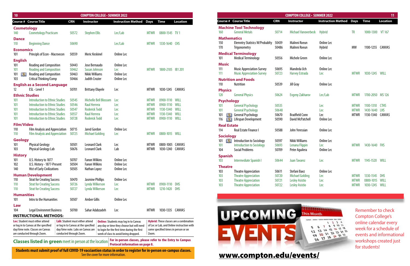| 10                                               |                                                                                                                                                                                                           |                                                                                                                                         | <b>COMPTON COLLEGE - SUMMER 2022</b>                                                                                |                                                                                                                                                                                    |                                                                         |                                                                                   |                                                                                                                                      |                                                                            |                                                                                                                                  |                                  | <b>COMPTON COLLEGE - SUMMER 2022</b>                                                     |                                                                                                        |                                           |                                                                    |                 |
|--------------------------------------------------|-----------------------------------------------------------------------------------------------------------------------------------------------------------------------------------------------------------|-----------------------------------------------------------------------------------------------------------------------------------------|---------------------------------------------------------------------------------------------------------------------|------------------------------------------------------------------------------------------------------------------------------------------------------------------------------------|-------------------------------------------------------------------------|-----------------------------------------------------------------------------------|--------------------------------------------------------------------------------------------------------------------------------------|----------------------------------------------------------------------------|----------------------------------------------------------------------------------------------------------------------------------|----------------------------------|------------------------------------------------------------------------------------------|--------------------------------------------------------------------------------------------------------|-------------------------------------------|--------------------------------------------------------------------|-----------------|
|                                                  | Course # Course Title                                                                                                                                                                                     | <b>CRN</b>                                                                                                                              | <b>Instructor</b>                                                                                                   | <b>Instruction Method Days Time</b>                                                                                                                                                |                                                                         |                                                                                   | <b>Location</b>                                                                                                                      |                                                                            | <b>Course # Course Title</b>                                                                                                     | <b>CRN</b>                       | <b>Instructor</b>                                                                        | <b>Instruction Method Days</b>                                                                         |                                           | Time                                                               | <b>Location</b> |
| <b>Cosmetology</b><br>140                        | <b>Cosmetology Practicum</b>                                                                                                                                                                              | 50572                                                                                                                                   | <b>Stephen Ellis</b>                                                                                                | Lec/Lab                                                                                                                                                                            | <b>MTWR</b>                                                             | 0800-1545 TV 1                                                                    |                                                                                                                                      | 160                                                                        | <b>Machine Tool Technology</b><br><b>General Metals</b>                                                                          | 50714                            | <b>Michael Vanoverbeck</b>                                                               | <b>Hybrid</b>                                                                                          | <b>TR</b>                                 | 1000-1300 VT 167                                                   |                 |
| <b>Dance</b><br>110                              | <b>Beginning Dance</b>                                                                                                                                                                                    | 50690                                                                                                                                   |                                                                                                                     | Lec/Lab                                                                                                                                                                            | <b>MTWR</b>                                                             | 1330-1640 CHS                                                                     |                                                                                                                                      | 150<br>170                                                                 | <b>Mathematics</b><br><b>Elemntry Statistcs W/Probablty</b><br>Trigonometry                                                      | 50439<br>50486                   | Malinni Roeun<br>Malinni Roeun                                                           | Online Lec<br>Hybrid                                                                                   | <b>MW</b>                                 | 1100-1255 CANVAS                                                   |                 |
| <b>Economics</b><br>101                          | Principls of Econ - Macroecon                                                                                                                                                                             | 50559                                                                                                                                   | <b>Meric Keskinel</b>                                                                                               | Online Lec                                                                                                                                                                         |                                                                         |                                                                                   |                                                                                                                                      |                                                                            | <b>Medical Terminology</b>                                                                                                       |                                  |                                                                                          |                                                                                                        |                                           |                                                                    |                 |
| <b>English</b><br>101<br>101<br>101<br>IХ<br>103 | <b>Reading and Composition</b><br><b>Reading and Composition</b><br><b>Reading and Composition</b><br>Critical Thinking/Comp                                                                              | 50443<br>50462<br>50463<br>50466                                                                                                        | Jose Bernaudo<br><b>Susan Johnson</b><br>Nikki Williams<br><b>Judith Crozier</b>                                    | Online Lec<br>Lec<br>Online Lec<br>Online Lec                                                                                                                                      | <b>MTWR</b>                                                             | 1800-2105 IB1 201                                                                 |                                                                                                                                      | 101<br>Music<br>111<br>111                                                 | <b>Medical Terminology</b><br><b>Music Appreciation-Survey</b><br><b>Music Appreciation-Survey</b><br><b>Nutrition and Foods</b> | 50556<br>50695<br>50723          | Michele Green<br>Mandeda Uch<br><b>Harvey Estrada</b>                                    | Online Lec<br>Online Lec<br>Lec                                                                        | <b>MTWR</b>                               | 1030-1245 WILL                                                     |                 |
|                                                  | <b>English as a Second Language</b>                                                                                                                                                                       |                                                                                                                                         |                                                                                                                     |                                                                                                                                                                                    |                                                                         |                                                                                   |                                                                                                                                      | 110                                                                        | Nutrition                                                                                                                        | 50539                            | Jill Gray                                                                                | Online Lec                                                                                             |                                           |                                                                    |                 |
| 12 <sup>2</sup><br><b>Ethnic Studies</b>         | ESL - Level 1                                                                                                                                                                                             | 50701                                                                                                                                   | <b>Brittany Olayele</b>                                                                                             | Lec                                                                                                                                                                                | <b>MTWR</b>                                                             | 1030-1245 CANVAS                                                                  |                                                                                                                                      | <b>Physics</b><br>120                                                      | <b>General Physics</b>                                                                                                           | 50624                            | <b>Evgeny Zakharov</b>                                                                   | Lec/Lab                                                                                                | <b>MTWR</b>                               | 1700-2050 MS 126                                                   |                 |
| 101<br>101<br>101<br>101<br>101                  | <b>Introduction to Ethnic Studies</b><br><b>Introduction to Ethnic Studies</b><br><b>Introduction to Ethnic Studies</b><br><b>Introduction to Ethnic Studies</b><br><b>Introduction to Ethnic Studies</b> | 50545<br>50546<br>50547<br>50557<br>50728                                                                                               | Michelle Bell Blossom<br><b>Raul Herrera</b><br><b>Roderick Todd</b><br><b>Raul Herrera</b><br><b>Roderick Todd</b> | Lec<br>Lec<br>Lec<br>Lec<br>Lec                                                                                                                                                    | <b>MTWR</b><br><b>MTWR</b><br><b>MTWR</b><br><b>MTWR</b><br><b>MTWR</b> | 0900-1110 WILL<br>0900-1110<br>1130-1340 WILL<br>1130-1340 WILL<br>0900-1110 WILL | WILL                                                                                                                                 | <b>Psychology</b><br>101<br>101<br><b>DKO</b><br>116<br><b>Destruction</b> | <b>General Psychology</b><br><b>General Psychology</b><br><b>General Psychology</b><br>Lifespan Development                      | 50535<br>50648<br>50670<br>50590 | <b>Bradfield Conn</b><br>David McPatchell                                                | Lec<br>Lec<br>Lec<br>Online Lec                                                                        | <b>MTWF</b><br><b>MTWR</b><br><b>MTWR</b> | 1100-1310 CTHS<br>1430-1640 LHS<br>1130-1340                       | CANVAS          |
| <b>Film/Video</b><br>110<br>110                  | Film Analysis and Appreciation<br><b>Film Analysis and Appreciation</b>                                                                                                                                   | 50715<br>50725                                                                                                                          | Jared Gordon<br><b>Michael Golding</b>                                                                              | Online Lec<br>Lec                                                                                                                                                                  | <b>MTWR</b>                                                             | 0800-1015 WILL                                                                    |                                                                                                                                      | <b>Real Estate</b><br>114                                                  | Real Estate Finance I                                                                                                            | 50588                            | John Yeressian                                                                           | Online Lec                                                                                             |                                           |                                                                    |                 |
| <b>Geology</b><br>101<br>103                     | <b>Physical Geology</b><br>Physical Geology Lab                                                                                                                                                           | 50501<br>50676                                                                                                                          | <b>Leonard Clark</b><br><b>Leonard Clark</b>                                                                        | Lec<br>Lab                                                                                                                                                                         | <b>MTWR</b><br><b>MTWR</b>                                              | 0800-1005 CANVAS<br>1030-1240 CANVAS                                              |                                                                                                                                      | <b>Sociology</b><br>101<br>DXI.<br>101<br>104                              | Introduction to Sociology<br><b>Introduction to Sociology</b><br><b>Social Problems</b>                                          | 50597<br>50693<br>50709          | Nikki Williams<br>Lenana Flippin<br>Peter Aguilera                                       | Online Lec<br>Lec<br>Online Lec                                                                        | <b>MTWR</b>                               | 1430-1640 FHS                                                      |                 |
| <b>History</b><br>101<br>102<br>140              | U.S. History to 1877<br>U.S. History - 1877-Present<br><b>Hist of Early Civilizations</b>                                                                                                                 | 50707<br>50504<br>50505                                                                                                                 | <b>Fanon Wilkins</b><br><b>Fanon Wilkins</b><br>Nathan Lopez                                                        | Online Lec<br>Online Lec<br>Online Lec                                                                                                                                             |                                                                         |                                                                                   |                                                                                                                                      | <b>Spanish</b><br>10 <sub>3</sub><br><b>Theatre</b>                        | Intermediate Spanish I                                                                                                           | 50644                            | <b>Juan Tavarez</b>                                                                      | Lec                                                                                                    | <b>MTWR</b>                               | 1145-1520 WILL                                                     |                 |
| 110<br>110<br>110                                | <b>Human Development</b><br><b>Strat for Creating Success</b><br><b>Strat for Creating Success</b><br><b>Strat for Creating Success</b>                                                                   | 50470<br>50726<br>50727                                                                                                                 | Jasmine Phillips<br>Lynda Wilkerson<br>Lynda Wilkerson                                                              | Online Lec<br>Lec<br>Lec                                                                                                                                                           | <b>MTWR</b><br><b>MTWR</b>                                              | 0900-1110 DHS<br>1210-1420 DHS                                                    |                                                                                                                                      | 103<br>103<br>103<br>103                                                   | <b>Theatre Appreciation</b><br><b>Theatre Appreciation</b><br><b>Theatre Appreciation</b><br><b>Theatre Appreciation</b>         | 50611<br>50720<br>50721<br>50722 | Stefani Baez<br><b>Michael Golding</b><br><b>Lesley Asistio</b><br><b>Lesley Asistio</b> | Online Lec<br>Lec<br>Lec<br>Lec                                                                        | <b>MTWR</b><br><b>MTWF</b><br><b>MTWR</b> | 1330-1545 DHS<br>0800-1015 WILL<br>1030-1245 WILL                  |                 |
| <b>Humanities</b><br>101                         | Intro to the Humanities                                                                                                                                                                                   | 50507                                                                                                                                   | Amber Gillis                                                                                                        | Online Lec                                                                                                                                                                         |                                                                         |                                                                                   |                                                                                                                                      |                                                                            |                                                                                                                                  |                                  |                                                                                          |                                                                                                        |                                           |                                                                    |                 |
| Law<br>104                                       | <b>Legal Environmnt Business</b><br><b>INSTRUCTIONAL METHODS:</b>                                                                                                                                         | 50700                                                                                                                                   | Sahar Adabzadeh                                                                                                     | Lec                                                                                                                                                                                | <b>MTWR</b>                                                             | 1030-1335 CANVAS                                                                  |                                                                                                                                      |                                                                            | UPCOMING                                                                                                                         |                                  | <b>This Month</b>                                                                        |                                                                                                        |                                           | <b>Remember to check</b><br><b>Compton College's</b>               |                 |
|                                                  | Lec: Student must either attend<br>or log in to Canvas at the specified<br>day/time note. Classes on Canvas<br>are conducted through Zoom.                                                                | Lab: Student must either attend<br>or log in to Canvas at the specified<br>day/time note. Labs on Canvas are<br>conducted through Zoom. |                                                                                                                     | <b>Online:</b> Students may log in to Canvas<br>any day or time they choose but will need<br>to login for the first time during the first<br>week of class to avoid being dropped. | Zoom.                                                                   |                                                                                   | <b>Hybrid:</b> These classes are a combination<br>of Lec or Lab, and Online instruction with<br>some specified times in person or on |                                                                            |                                                                                                                                  |                                  |                                                                                          | edebut Transac attacks homes them times<br>1 2 3 4<br>$A$ $B$ $B$ $H$<br>15 16 17 18<br>21 22 23 24 25 |                                           | online calendar ever<br>week for a schedule<br>events and informat |                 |

**For in-person classes, please refer to the Entry to Campus Classes listed in green** meet in person at the location

**Students must submit proof of full COVID-19 vacciantion status in order to register for in-person on-campus classes.** See the cover for more information.

| <b>COMPTON COLLEGE - SUMMER 2022</b> |                                                                      |                |                                       |                             |                            |                        |                      |  |
|--------------------------------------|----------------------------------------------------------------------|----------------|---------------------------------------|-----------------------------|----------------------------|------------------------|----------------------|--|
|                                      | <b>Course # Course Title</b>                                         | <b>CRN</b>     | <b>Instructor</b>                     | <b>Instruction Method</b>   | <b>Days</b>                | <b>Time</b>            | <b>Location</b>      |  |
| 160                                  | <b>Machine Tool Technology</b><br><b>General Metals</b>              | 50714          | <b>Michael Vanoverbeck</b>            | <b>Hybrid</b>               | <b>TR</b>                  | 1000-1300              | VT 167               |  |
| <b>Mathematics</b>                   |                                                                      |                |                                       |                             |                            |                        |                      |  |
| 150<br>170                           | <b>Elemntry Statistcs W/Probablty</b><br>Trigonometry                | 50439<br>50486 | <b>Malinni Roeun</b><br>Malinni Roeun | <b>Online Lec</b><br>Hybrid | <b>MW</b>                  | 1100-1255 CANVAS       |                      |  |
| 101                                  | <b>Medical Terminology</b><br><b>Medical Terminology</b>             | 50556          | Michele Green                         | <b>Online Lec</b>           |                            |                        |                      |  |
| <b>Music</b>                         |                                                                      |                |                                       |                             |                            |                        |                      |  |
| 111<br>111                           | <b>Music Appreciation-Survey</b><br><b>Music Appreciation-Survey</b> | 50695<br>50723 | Mandeda Uch<br><b>Harvey Estrada</b>  | <b>Online Lec</b><br>Lec    | <b>MTWR</b>                | 1030-1245              | <b>WILL</b>          |  |
|                                      | <b>Nutrition and Foods</b>                                           |                |                                       |                             |                            |                        |                      |  |
| 110                                  | <b>Nutrition</b>                                                     | 50539          | Jill Gray                             | Online Lec                  |                            |                        |                      |  |
| <b>Physics</b><br>120                | <b>General Physics</b>                                               | 50624          | <b>Evgeny Zakharov</b>                | Lec/Lab                     | <b>MTWR</b>                | 1700-2050              | MS 126               |  |
| <b>Psychology</b>                    |                                                                      |                |                                       |                             |                            |                        |                      |  |
| 101                                  | <b>General Psychology</b>                                            | 50535          |                                       | Lec                         | <b>MTWR</b>                | 1100-1310              | <b>CTHS</b>          |  |
| 101<br>101<br>DXI                    | <b>General Psychology</b><br><b>General Psychology</b>               | 50648<br>50670 | <b>Bradfield Conn</b>                 | Lec<br>Lec                  | <b>MTWR</b><br><b>MTWR</b> | 1430-1640<br>1130-1340 | <b>LHS</b><br>CANVAS |  |
| 116<br><b>DXI</b>                    | Lifespan Development                                                 | 50590          | <b>David McPatchell</b>               | <b>Online Lec</b>           |                            |                        |                      |  |
| <b>Real Estate</b>                   |                                                                      |                |                                       |                             |                            |                        |                      |  |
| 114                                  | Real Estate Finance I                                                | 50588          | John Yeressian                        | <b>Online Lec</b>           |                            |                        |                      |  |
| <b>Sociology</b>                     |                                                                      |                |                                       |                             |                            |                        |                      |  |
| 101<br><b>DXI</b>                    | Introduction to Sociology                                            | 50597          | Nikki Williams                        | <b>Online Lec</b>           |                            |                        |                      |  |
| 101                                  | <b>Introduction to Sociology</b>                                     | 50693          | Lenana Flippin                        | Lec                         | <b>MTWR</b>                | 1430-1640              | FHS                  |  |
| 104                                  | <b>Social Problems</b>                                               | 50709          | Peter Aguilera                        | Online Lec                  |                            |                        |                      |  |
| <b>Spanish</b><br>103                | Intermediate Spanish I                                               | 50644          | <b>Juan Tavarez</b>                   | Lec                         | <b>MTWR</b>                | 1145-1520              | WILL                 |  |
| <b>Theatre</b>                       |                                                                      |                |                                       |                             |                            |                        |                      |  |
| 103                                  | <b>Theatre Appreciation</b>                                          | 50611          | Stefani Baez                          | Online Lec                  |                            |                        |                      |  |
| 103                                  | <b>Theatre Appreciation</b>                                          | 50720          | <b>Michael Golding</b>                | Lec                         | <b>MTWR</b>                | 1330-1545              | <b>DHS</b>           |  |
| 103<br>103                           | <b>Theatre Appreciation</b>                                          | 50721<br>50722 | <b>Lesley Asistio</b>                 | Lec                         | <b>MTWR</b><br><b>MTWR</b> | 0800-1015<br>1030-1245 | WILL<br>WILL         |  |
|                                      | <b>Theatre Appreciation</b>                                          |                | <b>Lesley Asistio</b>                 | Lec                         |                            |                        |                      |  |



Remember to check Compton College's online calendar every week for a schedule of events and informational workshops created just for students!

[www.compton.edu/events/](http://www.compton.edu/events/)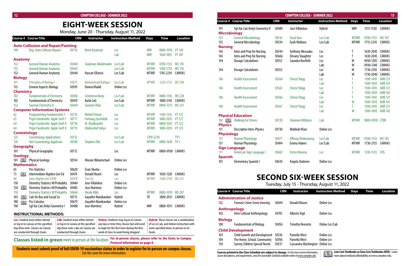**12 COMPTON COLLEGE • SUMMER 2022 COMPTON COLLEGE • SUMMER 2022 13**

**Courses printed in the Class Schedule are subject to change.** *For the most current information, course descriptions, and requirements, view the Searchable Schedule available online at www.compton.edu.*

**Low Cost Textbooks or Zero Cost Textbooks(OER) -** Learn more about textbook affordability at www.compton.edu.

| <b>Lec:</b> Student must either attend | Lab: Student must either attend      | <b>Online:</b> Students may log in to Canvas | <b>Hybrid:</b> These classes are a combination |
|----------------------------------------|--------------------------------------|----------------------------------------------|------------------------------------------------|
| or log in to Canvas at the specified   | or log in to Canvas at the specified | any day or time they choose but will need    | of Lec or Lab, and Online instruction with     |
| dav/time note. Classes on Canvas       | day/time note. Labs on Canvas are    | to login for the first time during the first | some specified times in person or on           |
| are conducted through Zoom.            | conducted through Zoom.              | veek of class to avoid being dropped.        | Zoom.                                          |

**Classes listed in green** meet in person at the location **For in-person classes, please refer to the Entry to Campus** 

#### **INSTRUCTIONAL METHODS:**

**Students must submit proof of full COVID-19 vacciantion status in order to register for in-person on-campus classes.** See the cover for more information.

|                                                         | <b>COMPTON COLLEGE - SUMMER 2022</b><br>13 |            |                           |                           |             |                |                 |  |  |  |
|---------------------------------------------------------|--------------------------------------------|------------|---------------------------|---------------------------|-------------|----------------|-----------------|--|--|--|
|                                                         | <b>Course # Course Title</b>               | <b>CRN</b> | <b>Instructor</b>         | <b>Instruction Method</b> | <b>Days</b> | <b>Time</b>    | <b>Location</b> |  |  |  |
| 191                                                     | Sql Var Calc/Anlyt Geometry II             | 50489      | Jose Villalobos           | <b>Hybrid</b>             | <b>MW</b>   | 1315-1530      | CANVAS          |  |  |  |
| <b>Microbiology</b>                                     |                                            |            |                           |                           |             |                |                 |  |  |  |
| 133                                                     | <b>General Microbiology</b>                | 50516      | <b>Fazal Aasi</b>         | Lec/Lab                   | <b>MTWR</b> | 0700-1155      | <b>MS 107</b>   |  |  |  |
| 133                                                     | <b>General Microbiology</b>                | 50534      | Eyob Wallano              | Lec/Lab                   | <b>MTWR</b> | 1715-2210      | CANVAS          |  |  |  |
| <b>Nursing</b>                                          |                                            |            |                           |                           |             |                |                 |  |  |  |
| 143                                                     | Intro and Prep for Nursing                 | 50544      | Anthony Nkwuaku           | Lec                       | T           | 1630-2045      | <b>CANVAS</b>   |  |  |  |
| 143                                                     | Intro and Prep for Nursing                 | 50666      | <b>Devany Slaughter</b>   | Lec                       | T           | 1630-2045      | <b>CANVAS</b>   |  |  |  |
| 144                                                     | <b>Dosage Calculations</b>                 | 50552      | Saundra Bosfield          | Lec                       | M           | 0930-1305      | CANVAS          |  |  |  |
|                                                         |                                            |            |                           | Lab                       | W           | 0930-1240      | CANVAS          |  |  |  |
| 144                                                     | <b>Dosage Calculations</b>                 | 50553      |                           | Lec                       | M           | 1730-2105      | CANVAS          |  |  |  |
|                                                         |                                            |            |                           | Lab                       | W           | 1730-2040      | <b>CANVAS</b>   |  |  |  |
| 146                                                     | <b>Health Assessment</b>                   | 50564      | <b>Cheryl Shigg</b>       | Lec                       | T           | 1100-1410      | <b>AHB 121</b>  |  |  |  |
|                                                         |                                            |            |                           | Lab                       | T           | 1500-1810      | <b>AHB 141</b>  |  |  |  |
| 146                                                     | <b>Health Assessment</b>                   | 50565      | <b>Cheryl Shigg</b>       | Lec                       | T           | 1100-1410      | <b>AHB 121</b>  |  |  |  |
|                                                         |                                            |            |                           | Lab                       | T           | 1500-1810      | <b>AHB 142</b>  |  |  |  |
| 146                                                     | <b>Health Assessment</b>                   | 50566      | <b>Cheryl Shigg</b>       | Lec                       | T           | 1100-1410      | <b>AHB 121</b>  |  |  |  |
|                                                         |                                            |            |                           | Lab                       | W           | 1500-1810      | <b>AHB 141</b>  |  |  |  |
| 146                                                     | <b>Health Assessment</b>                   | 50567      | <b>Cheryl Shigg</b>       | Lec                       | T           | 1100-1410      | <b>AHB 121</b>  |  |  |  |
|                                                         |                                            |            |                           | Lab                       | W           | 1500-1810      | <b>AHB 142</b>  |  |  |  |
|                                                         | <b>Physical Education</b>                  |            |                           |                           |             |                |                 |  |  |  |
| $102$ $\left[\begin{matrix} 0 \\ 0 \end{matrix}\right]$ | <b>Walking for Fitness</b>                 | 50518      | <b>Shannon Williams</b>   | Lab                       | <b>MTWR</b> | 0800-0930 CTRK |                 |  |  |  |
| <b>Physics</b>                                          |                                            |            |                           |                           |             |                |                 |  |  |  |
| 111                                                     | <b>Descriptive Intro-Physics</b>           | 50730      | <b>Mahbub Khan</b>        | Online Lec                |             |                |                 |  |  |  |
| <b>Physiology</b>                                       |                                            |            |                           |                           |             |                |                 |  |  |  |
| 131                                                     | <b>Human Physiology</b>                    | 50471      | <b>Effiong Otukonyong</b> | Lec/Lab                   | <b>MTWR</b> | 0700-1125      | <b>MS 103</b>   |  |  |  |
| 131                                                     | <b>Human Physiology</b>                    | 50494      | Emma Adams                | Lec/Lab                   | <b>MTWR</b> | 1730-2155      | <b>CANVAS</b>   |  |  |  |
|                                                         | <b>Sign Language</b>                       |            |                           |                           |             |                |                 |  |  |  |
| 111                                                     | American Sign Language I                   | 50682      | <b>Victor Monroy</b>      | Lec                       | <b>MTWR</b> | 1330-1535      | <b>CHS</b>      |  |  |  |
| <b>Spanish</b>                                          |                                            |            |                           |                           |             |                |                 |  |  |  |
| 101                                                     | <b>Elementary Spanish I</b>                | 50610      | Angela Shaheen            | <b>Online Lec</b>         |             |                |                 |  |  |  |

|                    | Course # Course Title                      | <b>CRN</b> | <b>Instructor</b>         | <b>Instruction Method</b> | <b>Days</b> | <b>Time</b>      | <b>Location</b> |
|--------------------|--------------------------------------------|------------|---------------------------|---------------------------|-------------|------------------|-----------------|
|                    | <b>Auto Collission and Repair/Painting</b> |            |                           |                           |             |                  |                 |
| 140                | Beg: Auto Collision Repair I               | 50710      | <b>Brent Kooiman</b>      | Lec                       | <b>MW</b>   | 0800-1010 VT 128 |                 |
|                    |                                            |            |                           | Lab                       | <b>MW</b>   | 1020-1835        | <b>VT 187</b>   |
| <b>Anatomy</b>     |                                            |            |                           |                           |             |                  |                 |
| 132                | <b>General Human Anatomy</b>               | 50440      | Sulaiman Abdulmalek       | Lec/Lab                   | <b>MTWR</b> | 0700-1135        | <b>MS 110</b>   |
| 132                | <b>General Human Anatomy</b>               | 50442      |                           | Lec/Lab                   | <b>MTWR</b> | 1300-1735        | <b>MS 110</b>   |
| 132                | <b>General Human Anatomy</b>               | 50446      | Hassan Elfarissi          | Lec/Lab                   | <b>MTWR</b> | 1745-2210        | <b>CANVAS</b>   |
| <b>Biology</b>     |                                            |            |                           |                           |             |                  |                 |
| 101                | <b>Principles of Biology I</b>             | 50675      | <b>Muhammad Rafique</b>   | Lec/Lab                   | <b>MTWR</b> | 1230-1735        | <b>MS 108</b>   |
| 115                | <b>Environ Aspects Biology</b>             | 50595      | Donna Khalid              | Online Lec                |             |                  |                 |
| <b>Chemistry</b>   |                                            |            |                           |                           |             |                  |                 |
| 102                | <b>Fundamentals of Chemistry</b>           | 50458      | <b>Schetema Nealy</b>     | Lec/Lab                   | <b>MTWR</b> | 0800-1145        | <b>MS 228</b>   |
| 102                | <b>Fundamentals of Chemistry</b>           | 50459      | Karla Coti                | Lec/Lab                   | <b>MTWR</b> | 1800-2145        | CANVAS          |
| 152                | <b>General Chemistry II</b>                | 50460      | <b>Gautam Dhar</b>        | Lec/Lab                   | <b>MTWR</b> | 0800-1255        | MS 231          |
|                    | <b>Computer Information Systems</b>        |            |                           |                           |             |                  |                 |
| 62                 | <b>Programming Fundamental 1</b>           | 50716      | Mehdi Peiravi             | <b>Lec</b>                | <b>MTWR</b> | 1100-1335        | VT 127          |
| 63                 | Prqm Fundmntls: Apple Swft I               | 50717      | <b>Farhang Zarrinkelk</b> | <b>Lec</b>                | <b>MTWR</b> | 1800-2035 VT 127 |                 |
| 64                 | Prgm Fundmntls: Apple Swft II              | 50718      | M. Khalilzadeh            | Lec                       | <b>MTWR</b> | 0800-1035 VT 125 |                 |
| 64                 | Prgm Fundmntls: Apple Swft II              | 50719      | <b>Abdirashid Yahye</b>   | Lec                       | <b>MTWR</b> | 1800-2035 VT 125 |                 |
| <b>Cosmetology</b> |                                            |            |                           |                           |             |                  |                 |
| 125                | <b>Cosmetology Applications</b>            | 50732      |                           | Lec/Lab                   | 1700-2210   |                  | TV <sub>1</sub> |
| 130                | <b>Adv Cosmetology Applicatn</b>           | 50508      | <b>Stephen Ellis</b>      | Lec/Lab                   | <b>MTWR</b> | 0800-1610        | TV <sub>1</sub> |
| <b>Geography</b>   |                                            |            |                           |                           |             |                  |                 |
| 101                | <b>Physical Geography</b>                  | 50712      |                           | Lec                       | <b>MTWR</b> | 0800-0930 CANVAS |                 |
| <b>Geology</b>     |                                            |            |                           |                           |             |                  |                 |
| DХ<br>101          | <b>Physical Geology</b>                    | 50554      | Mussie Okbamichael        | <b>Online Lec</b>         |             |                  |                 |
| <b>Mathematics</b> |                                            |            |                           |                           |             |                  |                 |
| 65                 | Pre-Statistics                             | 50620      | Evan Skorka               | Online Lec                |             |                  |                 |
| DXI<br>73          | Intermediate Algebra Gen Ed                | 50474      | <b>Donald Roach</b>       | Lec                       | <b>MTWR</b> | 1030-1320        | <b>CANVAS</b>   |
| 80                 | <b>Inter Algebra for STEM</b>              | 50478      | <b>Tim Vu</b>             | <b>Lec</b>                | <b>MTWR</b> | 1500-1750        | <b>MS 212</b>   |
| 150                | <b>Elemntry Statistcs W/Probablty</b>      | 50484      | Jose Villalobos           | <b>Online Lec</b>         |             |                  |                 |
| IМ<br>150          | <b>Elemntry Statistcs W/Probablty</b>      | 50485      | <b>Jose Martinez</b>      | <b>Online Lec</b>         |             |                  |                 |
| 150                | <b>Elemntry Statistcs W/Probablty</b>      | 50664      | <b>Nicole Bibb</b>        | Lec                       | <b>MTWR</b> | 0800-1010        | <b>MS 207</b>   |
| 165<br>DX I        | <b>Calc for Bus and Social Sci</b>         | 50713      | Gayathri Manikandan       | Hybrid                    | TR          | 1800-2015        | <b>CANVAS</b>   |
| 180<br><b>DAY</b>  | Pre-Calculus                               | 50679      | Gayathri Manikandan       | Online Lec                |             |                  |                 |
| 190                | Sql Var Calc/Anlyt Geometry I              | 50488      | <b>Jose Martinez</b>      | Hybrid                    | <b>MW</b>   | 0800-1015        | <b>CANVAS</b>   |
|                    |                                            |            |                           |                           |             |                  |                 |

### **EIGHT-WEEK SESSION**

Monday, June 20 - Thursday, August 11, 2022

# **SECOND SIX-WEEK SESSION**

Tuesday, July 15 - Thursday, August 11, 2022



|                       | <b>Course # Course Title</b>                                                                               | <b>CRN</b>              | <b>Instructor</b>                                               | <b>Instruction Method</b> | <b>Days</b> | Time | <b>Location</b> |
|-----------------------|------------------------------------------------------------------------------------------------------------|-------------------------|-----------------------------------------------------------------|---------------------------|-------------|------|-----------------|
| 132                   | <b>Administration of Justice</b><br><b>Forensic Crime Scene Investig</b>                                   | 50694                   | Donald Mason                                                    | Online Lec                |             |      |                 |
| 102                   | <b>Anthropology</b><br>Intro Cultural Anthropology                                                         | 50705                   | Alberto Vigil                                                   | Online Lec                |             |      |                 |
| <b>Biology</b><br>100 | <b>Fundamentals of Biology</b>                                                                             | 50456                   | Timothy Reonisto                                                | Online Lec/Lab            |             |      |                 |
|                       | <b>Child Development</b>                                                                                   |                         |                                                                 |                           |             |      |                 |
| 103<br>104<br>150     | <b>Child Growth and Development</b><br>The Home, School, Community<br><b>Survey Children Special Needs</b> | 50536<br>50706<br>50537 | Pamella West<br>Pamella West<br>Cassandra Washington Online Lec | Online Lec<br>Online Lec  |             |      |                 |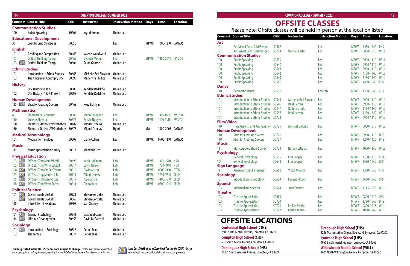**Low Cost Textbooks or Zero Cost Textbooks(OER) -** Learn more about textbook affordability at www.compton.edu.

| 14                       |                                                         |                | <b>COMPTON COLLEGE - SUMMER 2022</b>         |                                |                            |                                  |                 |                                   |                                                                                |                | <b>COMPTON COLLEGE - SUMMER 2022</b>        |                                                          |                            |                                  | 15              |
|--------------------------|---------------------------------------------------------|----------------|----------------------------------------------|--------------------------------|----------------------------|----------------------------------|-----------------|-----------------------------------|--------------------------------------------------------------------------------|----------------|---------------------------------------------|----------------------------------------------------------|----------------------------|----------------------------------|-----------------|
|                          | <b>Course # Course Title</b>                            | <b>CRN</b>     | <b>Instructor</b>                            | <b>Instruction Method Days</b> |                            | Time                             | <b>Location</b> |                                   |                                                                                |                | <b>OFFSITE CLASSES</b>                      |                                                          |                            |                                  |                 |
|                          | <b>Communication Studies</b>                            |                |                                              |                                |                            |                                  |                 |                                   | Please note: Offsite classes will be held in-person at the location listed.    |                |                                             |                                                          |                            |                                  |                 |
| 100                      | <b>Public Speaking</b>                                  | 50667          | Ingrid Greene                                | Online Lec                     |                            |                                  |                 |                                   | <b>Course # Course Title</b>                                                   | <b>CRN</b>     | <b>Instructor</b>                           | <b>Instruction Method Days Time</b>                      |                            |                                  | <b>Location</b> |
|                          | <b>Educational Development</b>                          |                |                                              |                                |                            |                                  |                 | <b>Art</b>                        |                                                                                |                |                                             |                                                          |                            |                                  |                 |
| 33                       | <b>Specific Lrng Strategies</b>                         | 50558          |                                              | Lec                            | MTWR                       | 1000-1210 CANVAS                 |                 | 101                               | <b>Art/Visual Cultr: Glbl Perspec</b>                                          | 50687          |                                             | Lec                                                      |                            | 1430-1640 LHS                    |                 |
| <b>English</b>           |                                                         |                |                                              |                                |                            |                                  |                 | 101                               | Art/Visual Cultr: Glbl Perspec                                                 | 50724          | <b>Deitra Charles</b>                       | Lec                                                      | <b>MTWR</b>                | 0800-1015 WILL                   |                 |
| 101                      | <b>Reading and Composition</b>                          | 50465          | <b>Valerie Woodward</b>                      | Online Lec                     |                            | 1800-2010 IB1 204                |                 |                                   | <b>Communication Studies</b>                                                   |                |                                             |                                                          |                            |                                  |                 |
| 103<br>$103$ <b>LV</b>   | <b>Critical Thinking/Comp</b><br>Critical Thinking/Comp | 50467<br>50606 | Georgia Moten<br>Sarah George                | Lec<br>Online Lec              | <b>MTWR</b>                |                                  |                 | 100                               | <b>Public Speaking</b>                                                         | 50639          |                                             | Lec                                                      |                            | 0900-1110 WILL                   |                 |
|                          |                                                         |                |                                              |                                |                            |                                  |                 | 100                               | <b>Public Speaking</b>                                                         | 50640          |                                             | Lec                                                      |                            | 0900-1110 WILL                   |                 |
| <b>Ethnic Studies</b>    | Introduction to Ethnic Studies                          |                |                                              | Online Lec                     |                            |                                  |                 | 100<br>100                        | <b>Public Speaking</b><br><b>Public Speaking</b>                               | 50641<br>50642 |                                             | Lec<br>Lec                                               | <b>MTWR</b>                | 0900-1110 WILL<br>1130-1340 WILL |                 |
| 101<br>103               | The Chicano in Contmpry U.S.                            | 50668<br>50699 | Michelle Bell Blossom<br>Marjeritta Phillips | Online Lec                     |                            |                                  |                 | 100                               | <b>Public Speaking</b>                                                         | 50643          |                                             | Lec                                                      | <b>MTWR</b>                | 1130-1340 WILL                   |                 |
|                          |                                                         |                |                                              |                                |                            |                                  |                 | 100                               | <b>Public Speaking</b>                                                         | 50686          |                                             | Lec                                                      | <b>MTWR</b>                | 1430-1640 FHS                    |                 |
| <b>History</b>           |                                                         |                |                                              |                                |                            |                                  |                 | <b>Dance</b>                      |                                                                                |                |                                             |                                                          |                            |                                  |                 |
| 101<br>102               | U.S. History to 1877<br>U.S. History - 1877-Present     | 50500<br>50598 | Kendahl Radcliffe<br>Kendahl Radcliffe       | Online Lec<br>Online Lec       |                            |                                  |                 | 110                               | <b>Beginning Dance</b>                                                         | 50690          |                                             | Lec/Lab                                                  | <b>MTWR</b>                | 1330-1640 CHS                    |                 |
|                          |                                                         |                |                                              |                                |                            |                                  |                 |                                   | <b>Ethnic Studies</b>                                                          |                |                                             |                                                          |                            |                                  |                 |
|                          | <b>Human Development</b>                                |                |                                              |                                |                            |                                  |                 | 101                               | <b>Introduction to Ethnic Studies</b>                                          | 50545          | <b>Michelle Bell Blossom</b>                | Lec                                                      |                            | 0900-1110 WILL                   |                 |
| DX.                      | <b>Strat for Creating Success</b>                       | 50469          | Roza Ekimyan                                 | Online Lec                     |                            |                                  |                 | 101<br>101                        | <b>Introduction to Ethnic Studies</b><br><b>Introduction to Ethnic Studies</b> | 50546<br>50547 | <b>Raul Herrera</b><br><b>Roderick Todd</b> | Lec<br>Lec                                               | <b>MTWR</b><br><b>MTWR</b> | 0900-1110 WILL<br>1130-1340 WILL |                 |
| <b>Mathematics</b>       |                                                         |                |                                              |                                |                            |                                  |                 | 101                               | <b>Introduction to Ethnic Studies</b>                                          | 50557          | <b>Raul Herrera</b>                         | Lec                                                      |                            | 1130-1340 WILL                   |                 |
| 60                       | <b>Elementary Geometry</b>                              | 50680          | <b>Matin Lackpour</b>                        | Lec                            | <b>MTWR</b>                | 1315-1605                        | <b>MS 208</b>   | 101                               | Introduction to Ethnic Studies 50728                                           |                |                                             | Lec                                                      | <b>MTWR</b>                | 0900-1110 WILL                   |                 |
| 130                      | <b>College Algebra</b>                                  | 50677          | <b>Fonzie Nguyen</b>                         | Lec                            | <b>MTWR</b>                | 1100-1310 MS 202                 |                 | <b>Film/Video</b>                 |                                                                                |                |                                             |                                                          |                            |                                  |                 |
| 150                      | <b>Elemntry Statistcs W/Probablty</b>                   | 50482          | Miguel Ornelas                               | Online Lec                     |                            |                                  |                 | 110                               | Film Analysis and Appreciation 50725                                           |                | <b>Michael Golding</b>                      | Lec                                                      | <b>MTWR</b>                | 0800-1015 WILL                   |                 |
| 150                      | <b>Elemntry Statistcs W/Probablty</b>                   | 50678          | Miguel Ornelas                               | Hybrid                         | <b>MW</b>                  | 1800-2005 CANVAS                 |                 |                                   | <b>Human Development</b>                                                       |                |                                             |                                                          |                            |                                  |                 |
|                          | <b>Medical Terminology</b>                              |                |                                              |                                |                            |                                  |                 | 110                               | <b>Strat for Creating Success</b>                                              | 50726          |                                             | Lec                                                      | <b>MTWR</b>                | 0900-1110 DHS                    |                 |
| 101                      | <b>Medical Terminology</b>                              | 50509          | <b>Diane Collins</b>                         | Lec                            | <b>MTWR</b>                | 0900-1110 CANVAS                 |                 | 110                               | <b>Strat for Creating Success</b>                                              | 50727          |                                             | Lec                                                      | <b>MTWR</b>                | 1210-1420 DHS                    |                 |
| <b>Music</b>             |                                                         |                |                                              |                                |                            |                                  |                 | <b>Music</b><br>111               | <b>Music Appreciation-Survey</b>                                               | 50723          | <b>Harvey Estrada</b>                       | Lec                                                      | <b>MTWR</b>                | 1030-1245 WILL                   |                 |
| 111                      | <b>Music Appreciation-Survey</b>                        | 50512          | Mandeda Uch                                  | Online Lec                     |                            |                                  |                 | <b>Psychology</b>                 |                                                                                |                |                                             |                                                          |                            |                                  |                 |
|                          | <b>Physical Education</b>                               |                |                                              |                                |                            |                                  |                 | 101                               | <b>General Psychology</b>                                                      | 50535          | <b>Erin Cooper</b>                          | Lec                                                      |                            | 1100-1310 CTHS                   |                 |
| $163$ $\blacksquare$     | Off Seas Trng Men Bsktbll                               | 50495          | <b>Keith Hollimon</b>                        | Lab                            | <b>MTWR</b>                | 1300-1510 X 20                   |                 | 101                               | <b>General Psychology</b>                                                      | 50648          | <b>Erin Cooper</b>                          | Lec                                                      | <b>MTWR</b>                | 1430-1640 LHS                    |                 |
| 165 <b>ILWAN</b>         | Off Seas Trng Wmn Bsktbll                               | 50517          | <b>Lewis Nelson</b>                          | Lab                            | <b>MTWR</b>                | 1730-1940 X 20                   |                 |                                   | <b>Sign Language</b>                                                           |                |                                             |                                                          |                            |                                  |                 |
| 168 <b>AM</b>            | Off Seas Trng Crs Cnt Teams                             | 50510          | <b>David Austin</b>                          | Lab                            | <b>MTWR</b>                | 0900-1110 CTRK                   |                 | 111                               | American Sign Language I                                                       | 50682          | <b>Victor Monroy</b>                        | Lec                                                      | <b>MTWR</b>                | 1330-1535 CHS                    |                 |
| 171 <b>[30]</b>          | Off Seas Trng Men Ftbl Tm                               | 50513          | <b>Albert Dorsey</b>                         | Lab                            | <b>MTWR</b>                | 1730-1940 CFLD                   |                 | <b>Sociology</b>                  |                                                                                |                |                                             |                                                          |                            |                                  |                 |
| 175 <b>AND</b>           | <b>Off Seas Trng Men Soccer</b>                         | 50515<br>50514 | <b>Jose Garcia</b>                           | Lab<br>Lab                     | <b>MTWR</b><br><b>MTWR</b> | 1400-1610 CFLD<br>0800-1010 CFLD |                 | 101                               | <b>Introduction to Sociology</b>                                               | 50693          | Lenana Flippin                              | Lec                                                      | MTWR                       | 1430-1640 FHS                    |                 |
| 178 <b>AND</b>           | Off Seas Trng Wmn Soccer                                |                | Diego Back                                   |                                |                            |                                  |                 | <b>Spanish</b><br>10 <sub>3</sub> | Intermediate Spanish I                                                         | 50644          | <b>Juan Tavarez</b>                         | Lec                                                      | MTWR                       | 1145-1520 WILL                   |                 |
| <b>Political Science</b> |                                                         |                |                                              |                                |                            |                                  |                 | <b>Theatre</b>                    |                                                                                |                |                                             |                                                          |                            |                                  |                 |
| $101$ $\sqrt{3}$         | Governments US/Calif                                    | 50521          | <b>Steven Gonzales</b>                       | Online Lec                     |                            |                                  |                 | 103                               | <b>Theatre Appreciation</b>                                                    | 50688          |                                             | Lec                                                      |                            | 0800-1010 LHS                    |                 |
| <b>DXI</b><br>101        | Governments US/Calif<br><b>Intro-Interntl Relations</b> | 50669<br>50708 | <b>Steven Gonzales</b><br>Van Chaney         | Online Lec<br>Online Lec       |                            |                                  |                 | 103                               | <b>Theatre Appreciation</b>                                                    | 50720          |                                             | Lec                                                      |                            | 1330-1545 DHS                    |                 |
| 110                      |                                                         |                |                                              |                                |                            |                                  |                 | 103                               | <b>Theatre Appreciation</b>                                                    | 50721          | <b>Lesley Asistio</b>                       | Lec                                                      | <b>MTWR</b>                | 0800-1015 WILL                   |                 |
| <b>Psychology</b>        |                                                         |                |                                              |                                |                            |                                  |                 | 103                               | <b>Theatre Appreciation</b>                                                    | 50722          | <b>Lesley Asistio</b>                       | Lec                                                      | <b>MTWR</b>                | 1030-1245 WILL                   |                 |
| $101$ $\blacksquare$     | General Psychology                                      | 50541          | <b>Bradfield Conn</b>                        | Online Lec                     |                            |                                  |                 |                                   |                                                                                |                |                                             |                                                          |                            |                                  |                 |
| $116$ <b>TM</b>          | Lifespan Development                                    | 50658          | David McPatchell                             | Online Lec                     |                            |                                  |                 |                                   | <b>OFFSITE LOCATIONS</b>                                                       |                |                                             |                                                          |                            |                                  |                 |
| <b>Sociology</b>         |                                                         |                |                                              |                                |                            |                                  |                 |                                   | <b>Centennial High School (CTHS)</b>                                           |                |                                             | <b>Firebaugh High School (FHS)</b>                       |                            |                                  |                 |
| <b>DXU</b>               | Introduction to Sociology                               | 50526          | Corina Diaz                                  | Online Lec                     |                            |                                  |                 |                                   | 2606 North Central Avenue, Compton, CA 90222                                   |                |                                             | 5246 Martin Luther King Jr. Boulevard, Lynwood, CA 90262 |                            |                                  |                 |
| 102                      | The Family                                              | 50527          | Corina Diaz                                  | Online Lec                     |                            |                                  |                 |                                   | <b>Compton High School (CHS)</b>                                               |                |                                             | <b>Lynwood High School (LHS)</b>                         |                            |                                  |                 |

| <b>COMPTON COLLEGE - SUMMER 2022</b><br>15                                  |            |                        |                           |             |             |                 |  |  |  |
|-----------------------------------------------------------------------------|------------|------------------------|---------------------------|-------------|-------------|-----------------|--|--|--|
| <b>OFFSITE CLASSES</b>                                                      |            |                        |                           |             |             |                 |  |  |  |
| Please note: Offsite classes will be held in-person at the location listed. |            |                        |                           |             |             |                 |  |  |  |
| <b>Course Title</b>                                                         | <b>CRN</b> | <b>Instructor</b>      | <b>Instruction Method</b> | <b>Days</b> | <b>Time</b> | <b>Location</b> |  |  |  |
|                                                                             |            |                        |                           |             |             |                 |  |  |  |
| Art/Visual Cultr: Glbl Perspec                                              | 50687      |                        | Lec                       | <b>MTWR</b> | 1430-1640   | <b>LHS</b>      |  |  |  |
| Art/Visual Cultr: Glbl Perspec                                              | 50724      | <b>Deitra Charles</b>  | Lec                       | <b>MTWR</b> | 0800-1015   | WILL            |  |  |  |
| <b>Inication Studies</b>                                                    |            |                        |                           |             |             |                 |  |  |  |
| <b>Public Speaking</b>                                                      | 50639      |                        | Lec                       | <b>MTWR</b> | 0900-1110   | WILL            |  |  |  |
| <b>Public Speaking</b>                                                      | 50640      |                        | Lec                       | <b>MTWR</b> | 0900-1110   | WILL            |  |  |  |
| <b>Public Speaking</b>                                                      | 50641      |                        | Lec                       | <b>MTWR</b> | 0900-1110   | WILL            |  |  |  |
| <b>Public Speaking</b>                                                      | 50642      |                        | Lec                       | <b>MTWR</b> | 1130-1340   | WILL            |  |  |  |
| <b>Public Speaking</b>                                                      | 50643      |                        | Lec                       | <b>MTWR</b> | 1130-1340   | WILL            |  |  |  |
| <b>Public Speaking</b>                                                      | 50686      |                        | Lec                       | <b>MTWR</b> | 1430-1640   | <b>FHS</b>      |  |  |  |
| <b>Beginning Dance</b><br><b>Studies</b>                                    | 50690      |                        | Lec/Lab                   | <b>MTWR</b> | 1330-1640   | <b>CHS</b>      |  |  |  |
| <b>Introduction to Ethnic Studies</b>                                       | 50545      | Michelle Bell Blossom  | Lec                       | <b>MTWR</b> | 0900-1110   | WILL            |  |  |  |
| <b>Introduction to Ethnic Studies</b>                                       | 50546      | <b>Raul Herrera</b>    | Lec                       | <b>MTWR</b> | 0900-1110   | WILL            |  |  |  |
| <b>Introduction to Ethnic Studies</b>                                       | 50547      | <b>Roderick Todd</b>   | Lec                       | <b>MTWR</b> | 1130-1340   | WILL            |  |  |  |
| <b>Introduction to Ethnic Studies</b>                                       | 50557      | <b>Raul Herrera</b>    | Lec                       | <b>MTWR</b> | 1130-1340   | <b>WILL</b>     |  |  |  |
| <b>Introduction to Ethnic Studies</b>                                       | 50728      |                        | Lec                       | <b>MTWR</b> | 0900-1110   | WILL            |  |  |  |
| deo                                                                         |            |                        |                           |             |             |                 |  |  |  |
| Film Analysis and Appreciation 50725                                        |            | <b>Michael Golding</b> | Lec                       | <b>MTWR</b> | 0800-1015   | WILL            |  |  |  |
| <b>Development</b>                                                          |            |                        |                           |             |             |                 |  |  |  |
| <b>Strat for Creating Success</b>                                           | 50726      |                        | Lec                       | <b>MTWR</b> | 0900-1110   | <b>DHS</b>      |  |  |  |
| <b>Strat for Creating Success</b>                                           | 50727      |                        | Lec                       | <b>MTWR</b> | 1210-1420   | <b>DHS</b>      |  |  |  |
|                                                                             |            |                        |                           |             |             |                 |  |  |  |
| <b>Music Appreciation-Survey</b>                                            | 50723      | <b>Harvey Estrada</b>  | Lec                       | <b>MTWR</b> | 1030-1245   | WILL            |  |  |  |
| logy                                                                        |            |                        |                           |             |             |                 |  |  |  |
| <b>General Psychology</b>                                                   | 50535      | <b>Erin Cooper</b>     | Lec                       | <b>MTWR</b> | 1100-1310   | <b>CTHS</b>     |  |  |  |
| <b>General Psychology</b>                                                   | 50648      | <b>Erin Cooper</b>     | Lec                       | <b>MTWR</b> | 1430-1640   | <b>LHS</b>      |  |  |  |
| nguage                                                                      |            |                        |                           |             |             |                 |  |  |  |
| American Sign Language I                                                    | 50682      | <b>Victor Monroy</b>   | Lec                       | <b>MTWR</b> | 1330-1535   | <b>CHS</b>      |  |  |  |
| gy                                                                          |            |                        |                           |             |             |                 |  |  |  |
| <b>Introduction to Sociology</b>                                            | 50693      | Lenana Flippin         | Lec                       | <b>MTWR</b> | 1430-1640   | <b>FHS</b>      |  |  |  |
|                                                                             |            |                        |                           |             |             |                 |  |  |  |
| Intermediate Spanish I                                                      | 50644      | <b>Juan Tavarez</b>    | Lec                       | <b>MTWR</b> | 1145-1520   | <b>WILL</b>     |  |  |  |
|                                                                             |            |                        |                           |             |             |                 |  |  |  |
| <b>Theatre Appreciation</b>                                                 | 50688      |                        | Lec                       | <b>MTWR</b> | 0800-1010   | <b>LHS</b>      |  |  |  |
| <b>Theatre Appreciation</b>                                                 | 50720      |                        | Lec                       | <b>MTWR</b> | 1330-1545   | <b>DHS</b>      |  |  |  |
| <b>Theatre Appreciation</b>                                                 | 50721      | <b>Lesley Asistio</b>  | Lec                       | <b>MTWR</b> | 0800-1015   | <b>WILL</b>     |  |  |  |
| <b>Theatre Appreciation</b>                                                 | 50722      | <b>Lesley Asistio</b>  | Lec                       | <b>MTWR</b> | 1030-1245   | <b>WILL</b>     |  |  |  |

| Course #              | <b>Course Title</b>                   | <b>CRN</b> | <b>Instructor</b>      | <b>Instruction Method</b> | <b>Days</b>                | <b>Time</b>    | <b>Location</b> |
|-----------------------|---------------------------------------|------------|------------------------|---------------------------|----------------------------|----------------|-----------------|
| Art                   |                                       |            |                        |                           |                            |                |                 |
| 101                   | Art/Visual Cultr: Glbl Perspec        | 50687      |                        | Lec                       | <b>MTWR</b>                | 1430-1640      | <b>LHS</b>      |
| 101                   | Art/Visual Cultr: Glbl Perspec        | 50724      | <b>Deitra Charles</b>  | Lec                       | <b>MTWR</b>                | 0800-1015      | <b>WILL</b>     |
|                       | <b>Communication Studies</b>          |            |                        |                           |                            |                |                 |
| 100                   | <b>Public Speaking</b>                | 50639      |                        | Lec                       | <b>MTWR</b>                | 0900-1110      | WILL            |
| 100                   | <b>Public Speaking</b>                | 50640      |                        | Lec                       | <b>MTWR</b>                | 0900-1110      | WILL            |
| 100                   | <b>Public Speaking</b>                | 50641      |                        | Lec                       | <b>MTWR</b>                | 0900-1110      | WILL            |
| 100                   | <b>Public Speaking</b>                | 50642      |                        | Lec                       | <b>MTWR</b>                | 1130-1340      | WILL            |
| 100                   | <b>Public Speaking</b>                | 50643      |                        | Lec                       | <b>MTWR</b>                | 1130-1340      | WILL            |
| 100                   | <b>Public Speaking</b>                | 50686      |                        | Lec                       | <b>MTWR</b>                | 1430-1640      | <b>FHS</b>      |
| <b>Dance</b>          |                                       |            |                        |                           |                            |                |                 |
| 110                   | <b>Beginning Dance</b>                | 50690      |                        | Lec/Lab                   | <b>MTWR</b>                | 1330-1640      | <b>CHS</b>      |
| <b>Ethnic Studies</b> |                                       |            |                        |                           |                            |                |                 |
| 101                   | <b>Introduction to Ethnic Studies</b> | 50545      | Michelle Bell Blossom  | Lec                       | <b>MTWR</b>                | 0900-1110      | WILL            |
| 101                   | <b>Introduction to Ethnic Studies</b> | 50546      | <b>Raul Herrera</b>    | Lec                       | <b>MTWR</b>                | 0900-1110      | WILL            |
| 101                   | <b>Introduction to Ethnic Studies</b> | 50547      | <b>Roderick Todd</b>   | Lec                       | <b>MTWR</b>                | 1130-1340      | WILL            |
| 101                   | <b>Introduction to Ethnic Studies</b> | 50557      | <b>Raul Herrera</b>    | Lec                       | <b>MTWR</b>                | 1130-1340      | WILL            |
| 101                   | <b>Introduction to Ethnic Studies</b> | 50728      |                        | Lec                       | <b>MTWR</b>                | 0900-1110      | WILL            |
| <b>Film/Video</b>     |                                       |            |                        |                           |                            |                |                 |
| 110                   | Film Analysis and Appreciation 50725  |            | <b>Michael Golding</b> | Lec                       | <b>MTWR</b>                | 0800-1015      | WILL            |
|                       | <b>Human Development</b>              |            |                        |                           |                            |                |                 |
| 110                   | <b>Strat for Creating Success</b>     | 50726      |                        | Lec                       | <b>MTWR</b>                | 0900-1110      | <b>DHS</b>      |
| 110                   | <b>Strat for Creating Success</b>     | 50727      |                        | Lec                       | <b>MTWR</b>                | 1210-1420      | <b>DHS</b>      |
| <b>Music</b>          |                                       |            |                        |                           |                            |                |                 |
| 111                   | <b>Music Appreciation-Survey</b>      | 50723      | <b>Harvey Estrada</b>  | Lec                       | <b>MTWR</b>                | 1030-1245      | WILL            |
| <b>Psychology</b>     |                                       |            |                        |                           |                            |                |                 |
| 101                   | <b>General Psychology</b>             | 50535      | <b>Erin Cooper</b>     | Lec                       | <b>MTWR</b>                | 1100-1310      | <b>CTHS</b>     |
| 101                   | <b>General Psychology</b>             | 50648      | <b>Erin Cooper</b>     | Lec                       | <b>MTWR</b>                | 1430-1640      | <b>LHS</b>      |
| <b>Sign Language</b>  |                                       |            |                        |                           |                            |                |                 |
| 111                   | American Sign Language I              | 50682      | <b>Victor Monroy</b>   | Lec                       | <b>MTWR</b>                | 1330-1535      | <b>CHS</b>      |
| <b>Sociology</b>      |                                       |            |                        |                           |                            |                |                 |
| 101                   | <b>Introduction to Sociology</b>      | 50693      | Lenana Flippin         | Lec                       | <b>MTWR</b>                | 1430-1640      | <b>FHS</b>      |
| <b>Spanish</b>        |                                       |            |                        |                           |                            |                |                 |
| 103                   | Intermediate Spanish I                | 50644      | <b>Juan Tavarez</b>    | Lec                       | <b>MTWR</b>                | 1145-1520 WILL |                 |
| <b>Theatre</b>        |                                       |            |                        |                           |                            |                |                 |
| 103                   | <b>Theatre Appreciation</b>           | 50688      |                        | Lec                       | <b>MTWR</b>                | 0800-1010      | <b>LHS</b>      |
| 103                   | <b>Theatre Appreciation</b>           | 50720      |                        | Lec                       | <b>MTWR</b><br><b>MTWR</b> | 1330-1545      | <b>DHS</b>      |
| 103                   | <b>Theatre Appreciation</b>           | 50721      | <b>Lesley Asistio</b>  | Lec                       |                            | 0800-1015 WILL |                 |
| 103                   | <b>Theatre Appreciation</b>           | 50722      | <b>Lesley Asistio</b>  | Lec                       | <b>MTWR</b>                | 1030-1245 WILL |                 |

**Centennial High School (CTHS)** 2606 North Central Avenue, Compton, CA 90222 **Compton High School (CHS)**

601 South Acacia Avenue, Compton, CA 90220

**Dominguez High School (DHS)** 15301 South San Jose Avenue, Compton, CA 90221

# **OFFSITE LOCATIONS**

#### **Firebaugh High School (FHS)** 5246 Martin Luther King Jr. Boulevard, Lynwood, CA 90262 **Lynwood High School (LHS)** 4050 East Imperial Highway, Lynwood, CA 90262 **Willowbrook Middle School (WILL)** 2601 North Wilmington Avenue, Compton, CA 90222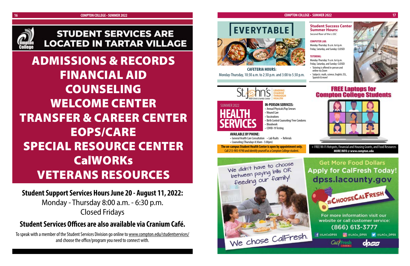![](_page_8_Picture_2.jpeg)

# **STUDENT SERVICES ARE LOCATED IN TARTAR VILLAGE**

**Student Support Services Hours June 20 - August 11, 2022:** Monday - Thursday 8:00 a.m. - 6:30 p.m. Closed Fridays

### **Student Services Offices are also available via Cranium Café.**

To speak with a member of the Student Services Division go online to www.compton.edu/studentservices/ and choose the office/program you need to connect with.

![](_page_8_Picture_8.jpeg)

ADMISSIONS & RECORDS FINANCIAL AID COUNSELING WELCOME CENTER TRANSFER & CAREER CENTER EOPS/CARE SPECIAL RESOURCE CENTER **CalWORKs** VETERANS RESOURCES

**CAFETERIA HOURS:** Monday-Thursday, 10:30 a.m. to 2:30 p.m. and 3:00 to 5:30 p.m.

![](_page_8_Picture_10.jpeg)

#### **Student Success Center Summer Hours:**

*Second floor of the L-SSC*

#### **COMPUTER LAB:**

Monday-Thursday: 8 a.m. to 6 p.m. Friday, Saturday, and Sunday: CLOSED

#### **TUTORING:**

Monday-Thursday: 9 a.m. to 6 p.m. Friday, Saturday, and Sunday: CLOSED

- Tutoring is offered in-person and online via Zoom
- Subjects: math, science, English, ESL, Spanish & more!

![](_page_8_Picture_29.jpeg)

![](_page_8_Picture_30.jpeg)

![](_page_8_Picture_31.jpeg)

**HEALTH SERVICES**

#### SUMMER 2022 **IN-PERSON SERVICES:**

• Annual Physicals/Pap Smears • Wound Care • Vaccinations • Birth Control Counseling/ Free Condoms • Bloodwork

• COVID-19 Testing

#### **AVAILABLE BY PHONE:**

• General Health Care Consultation • Lab Rsults • Referrals

• Counseling (Thursdays 8:30am - 5:00pm)

**The on-campus Student Health Center is open by appointment only.** Call 213-905-9790 and identify yourself as a Compton College student.

![](_page_8_Picture_19.jpeg)

#### **COMPTON COLLEGE • SUMMER 2022 17 17**

+ FREE Wi-Fi Hotspots, Financial and Housing Grants, and Food Resources **MORE INFO @ www.compton.edu**